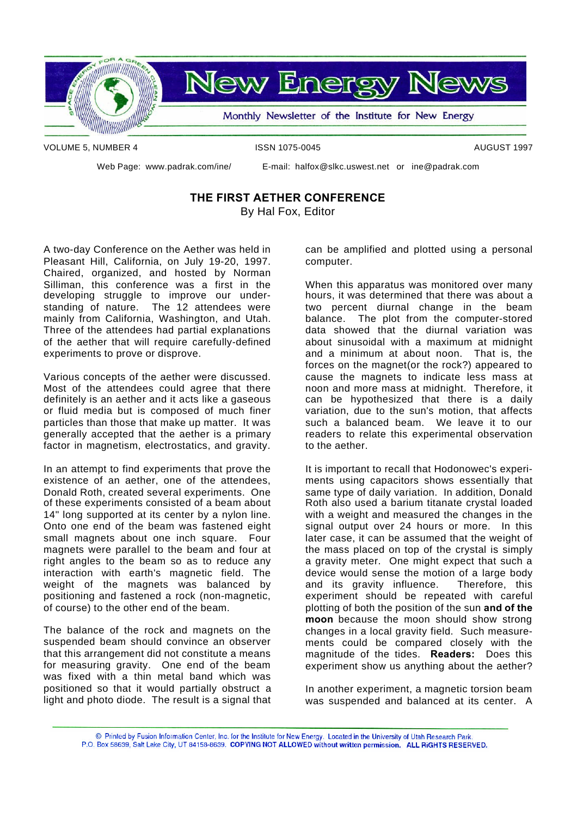

VOLUME 5, NUMBER 4 ISSN 1075-0045 AUGUST 1997

Web Page: www.padrak.com/ine/ E-mail: halfox@slkc.uswest.net or ine@padrak.com

### **THE FIRST AETHER CONFERENCE** By Hal Fox, Editor

A two-day Conference on the Aether was held in Pleasant Hill, California, on July 19-20, 1997. Chaired, organized, and hosted by Norman Silliman, this conference was a first in the developing struggle to improve our understanding of nature. The 12 attendees were mainly from California, Washington, and Utah. Three of the attendees had partial explanations of the aether that will require carefully-defined experiments to prove or disprove.

Various concepts of the aether were discussed. Most of the attendees could agree that there definitely is an aether and it acts like a gaseous or fluid media but is composed of much finer particles than those that make up matter. It was generally accepted that the aether is a primary factor in magnetism, electrostatics, and gravity.

In an attempt to find experiments that prove the existence of an aether, one of the attendees, Donald Roth, created several experiments. One of these experiments consisted of a beam about 14" long supported at its center by a nylon line. Onto one end of the beam was fastened eight small magnets about one inch square. Four magnets were parallel to the beam and four at right angles to the beam so as to reduce any interaction with earth's magnetic field. The weight of the magnets was balanced by positioning and fastened a rock (non-magnetic, of course) to the other end of the beam.

The balance of the rock and magnets on the suspended beam should convince an observer that this arrangement did not constitute a means for measuring gravity. One end of the beam was fixed with a thin metal band which was positioned so that it would partially obstruct a light and photo diode. The result is a signal that can be amplified and plotted using a personal computer.

When this apparatus was monitored over many hours, it was determined that there was about a two percent diurnal change in the beam balance. The plot from the computer-stored data showed that the diurnal variation was about sinusoidal with a maximum at midnight and a minimum at about noon. That is, the forces on the magnet(or the rock?) appeared to cause the magnets to indicate less mass at noon and more mass at midnight. Therefore, it can be hypothesized that there is a daily variation, due to the sun's motion, that affects such a balanced beam. We leave it to our readers to relate this experimental observation to the aether.

It is important to recall that Hodonowec's experiments using capacitors shows essentially that same type of daily variation. In addition, Donald Roth also used a barium titanate crystal loaded with a weight and measured the changes in the signal output over 24 hours or more. In this later case, it can be assumed that the weight of the mass placed on top of the crystal is simply a gravity meter. One might expect that such a device would sense the motion of a large body and its gravity influence. Therefore, this experiment should be repeated with careful plotting of both the position of the sun **and of the moon** because the moon should show strong changes in a local gravity field. Such measurements could be compared closely with the magnitude of the tides. **Readers:** Does this experiment show us anything about the aether?

In another experiment, a magnetic torsion beam was suspended and balanced at its center. A

C Printed by Fusion Information Center, Inc. for the Institute for New Energy. Located in the University of Utah Research Park. P.O. Box 58639, Salt Lake City, UT 84158-8639. COPYING NOT ALLOWED without written permission. ALL RIGHTS RESERVED.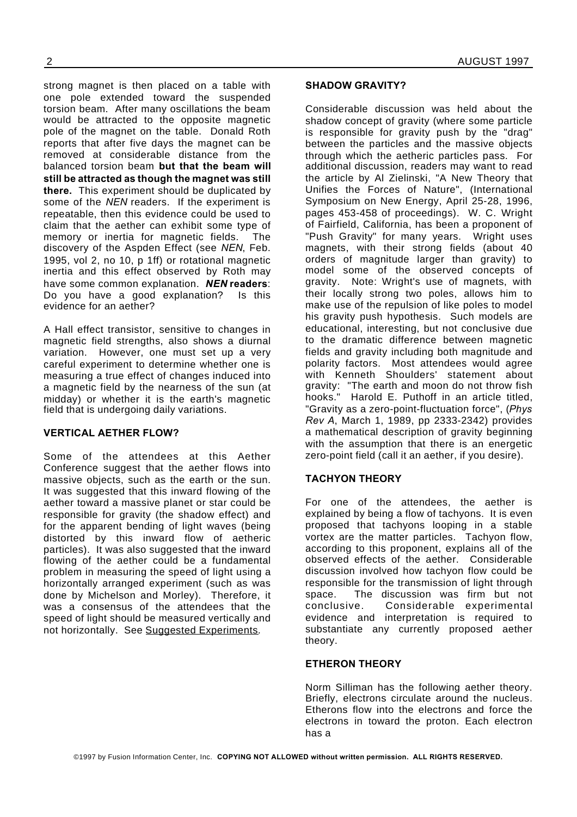strong magnet is then placed on a table with one pole extended toward the suspended torsion beam. After many oscillations the beam would be attracted to the opposite magnetic pole of the magnet on the table. Donald Roth reports that after five days the magnet can be removed at considerable distance from the balanced torsion beam **but that the beam will still be attracted as though the magnet was still there.** This experiment should be duplicated by some of the *NEN* readers. If the experiment is repeatable, then this evidence could be used to claim that the aether can exhibit some type of memory or inertia for magnetic fields. The discovery of the Aspden Effect (see *NEN*, Feb. 1995, vol 2, no 10, p 1ff) or rotational magnetic inertia and this effect observed by Roth may have some common explanation. *NEN* **readers**: Do you have a good explanation? Is this evidence for an aether?

A Hall effect transistor, sensitive to changes in magnetic field strengths, also shows a diurnal variation. However, one must set up a very careful experiment to determine whether one is measuring a true effect of changes induced into a magnetic field by the nearness of the sun (at midday) or whether it is the earth's magnetic field that is undergoing daily variations.

### **VERTICAL AETHER FLOW?**

Some of the attendees at this Aether Conference suggest that the aether flows into massive objects, such as the earth or the sun. It was suggested that this inward flowing of the aether toward a massive planet or star could be responsible for gravity (the shadow effect) and for the apparent bending of light waves (being distorted by this inward flow of aetheric particles). It was also suggested that the inward flowing of the aether could be a fundamental problem in measuring the speed of light using a horizontally arranged experiment (such as was done by Michelson and Morley). Therefore, it was a consensus of the attendees that the speed of light should be measured vertically and not horizontally. See Suggested Experiments.

### **SHADOW GRAVITY?**

Considerable discussion was held about the shadow concept of gravity (where some particle is responsible for gravity push by the "drag" between the particles and the massive objects through which the aetheric particles pass. For additional discussion, readers may want to read the article by Al Zielinski, "A New Theory that Unifies the Forces of Nature", (International Symposium on New Energy, April 25-28, 1996, pages 453-458 of proceedings). W. C. Wright of Fairfield, California, has been a proponent of "Push Gravity" for many years. Wright uses magnets, with their strong fields (about 40 orders of magnitude larger than gravity) to model some of the observed concepts of gravity. Note: Wright's use of magnets, with their locally strong two poles, allows him to make use of the repulsion of like poles to model his gravity push hypothesis. Such models are educational, interesting, but not conclusive due to the dramatic difference between magnetic fields and gravity including both magnitude and polarity factors. Most attendees would agree with Kenneth Shoulders' statement about gravity: "The earth and moon do not throw fish hooks." Harold E. Puthoff in an article titled, "Gravity as a zero-point-fluctuation force", (*Phys Rev A*, March 1, 1989, pp 2333-2342) provides a mathematical description of gravity beginning with the assumption that there is an energetic zero-point field (call it an aether, if you desire).

### **TACHYON THEORY**

For one of the attendees, the aether is explained by being a flow of tachyons. It is even proposed that tachyons looping in a stable vortex are the matter particles. Tachyon flow, according to this proponent, explains all of the observed effects of the aether. Considerable discussion involved how tachyon flow could be responsible for the transmission of light through space. The discussion was firm but not conclusive. Considerable experimental evidence and interpretation is required to substantiate any currently proposed aether theory.

### **ETHERON THEORY**

Norm Silliman has the following aether theory. Briefly, electrons circulate around the nucleus. Etherons flow into the electrons and force the electrons in toward the proton. Each electron has a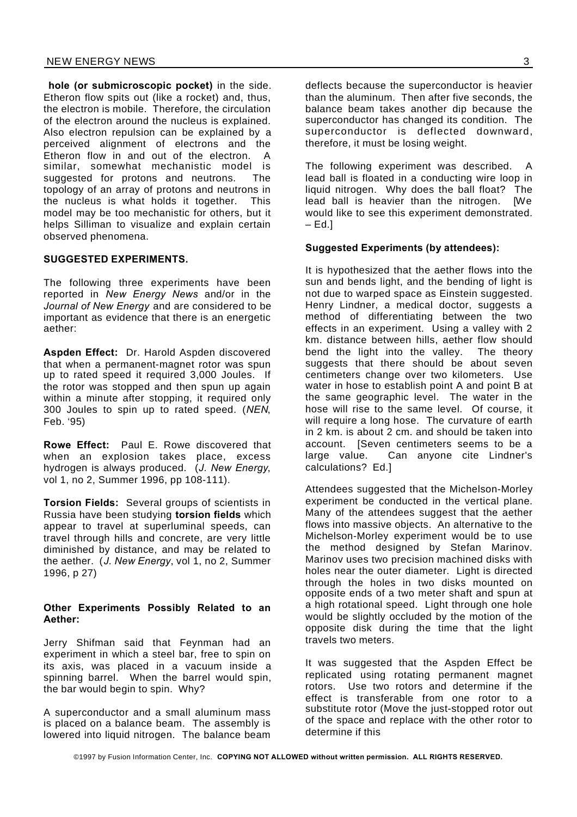**hole (or submicroscopic pocket)** in the side. Etheron flow spits out (like a rocket) and, thus, the electron is mobile. Therefore, the circulation of the electron around the nucleus is explained. Also electron repulsion can be explained by a perceived alignment of electrons and the Etheron flow in and out of the electron. A similar, somewhat mechanistic model is suggested for protons and neutrons. The topology of an array of protons and neutrons in the nucleus is what holds it together. This model may be too mechanistic for others, but it helps Silliman to visualize and explain certain observed phenomena.

### **SUGGESTED EXPERIMENTS.**

The following three experiments have been reported in *New Energy News* and/or in the *Journal of New Energy* and are considered to be important as evidence that there is an energetic aether:

**Aspden Effect:** Dr. Harold Aspden discovered that when a permanent-magnet rotor was spun up to rated speed it required 3,000 Joules. If the rotor was stopped and then spun up again within a minute after stopping, it required only 300 Joules to spin up to rated speed. (*NEN*, Feb. '95)

**Rowe Effect:** Paul E. Rowe discovered that when an explosion takes place, excess hydrogen is always produced. (*J. New Energy*, vol 1, no 2, Summer 1996, pp 108-111).

**Torsion Fields:** Several groups of scientists in Russia have been studying **torsion fields** which appear to travel at superluminal speeds, can travel through hills and concrete, are very little diminished by distance, and may be related to the aether. (*J. New Energy*, vol 1, no 2, Summer 1996, p 27)

### **Other Experiments Possibly Related to an Aether:**

Jerry Shifman said that Feynman had an experiment in which a steel bar, free to spin on its axis, was placed in a vacuum inside a spinning barrel. When the barrel would spin, the bar would begin to spin. Why?

A superconductor and a small aluminum mass is placed on a balance beam. The assembly is lowered into liquid nitrogen. The balance beam

deflects because the superconductor is heavier than the aluminum. Then after five seconds, the balance beam takes another dip because the superconductor has changed its condition. The superconductor is deflected downward, therefore, it must be losing weight.

The following experiment was described. A lead ball is floated in a conducting wire loop in liquid nitrogen. Why does the ball float? The lead ball is heavier than the nitrogen. [We would like to see this experiment demonstrated.  $-$  Ed.

### **Suggested Experiments (by attendees):**

It is hypothesized that the aether flows into the sun and bends light, and the bending of light is not due to warped space as Einstein suggested. Henry Lindner, a medical doctor, suggests a method of differentiating between the two effects in an experiment. Using a valley with 2 km. distance between hills, aether flow should bend the light into the valley. The theory suggests that there should be about seven centimeters change over two kilometers. Use water in hose to establish point A and point B at the same geographic level. The water in the hose will rise to the same level. Of course, it will require a long hose. The curvature of earth in 2 km. is about 2 cm. and should be taken into account. [Seven centimeters seems to be a large value. Can anyone cite Lindner's calculations? Ed.]

Attendees suggested that the Michelson-Morley experiment be conducted in the vertical plane. Many of the attendees suggest that the aether flows into massive objects. An alternative to the Michelson-Morley experiment would be to use the method designed by Stefan Marinov. Marinov uses two precision machined disks with holes near the outer diameter. Light is directed through the holes in two disks mounted on opposite ends of a two meter shaft and spun at a high rotational speed. Light through one hole would be slightly occluded by the motion of the opposite disk during the time that the light travels two meters.

It was suggested that the Aspden Effect be replicated using rotating permanent magnet rotors. Use two rotors and determine if the effect is transferable from one rotor to a substitute rotor (Move the just-stopped rotor out of the space and replace with the other rotor to determine if this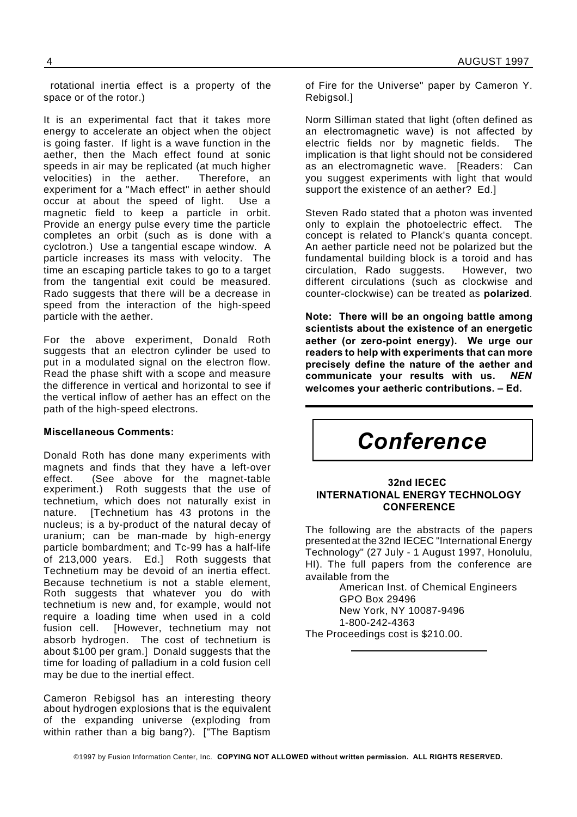rotational inertia effect is a property of the space or of the rotor.)

It is an experimental fact that it takes more energy to accelerate an object when the object is going faster. If light is a wave function in the aether, then the Mach effect found at sonic speeds in air may be replicated (at much higher velocities) in the aether. Therefore, an experiment for a "Mach effect" in aether should occur at about the speed of light. Use a magnetic field to keep a particle in orbit. Provide an energy pulse every time the particle completes an orbit (such as is done with a cyclotron.) Use a tangential escape window. A particle increases its mass with velocity. The time an escaping particle takes to go to a target from the tangential exit could be measured. Rado suggests that there will be a decrease in speed from the interaction of the high-speed particle with the aether.

For the above experiment, Donald Roth suggests that an electron cylinder be used to put in a modulated signal on the electron flow. Read the phase shift with a scope and measure the difference in vertical and horizontal to see if the vertical inflow of aether has an effect on the path of the high-speed electrons.

### **Miscellaneous Comments:**

Donald Roth has done many experiments with magnets and finds that they have a left-over effect. (See above for the magnet-table experiment.) Roth suggests that the use of technetium, which does not naturally exist in nature. [Technetium has 43 protons in the nucleus; is a by-product of the natural decay of uranium; can be man-made by high-energy particle bombardment; and Tc-99 has a half-life of 213,000 years. Ed.] Roth suggests that Technetium may be devoid of an inertia effect. Because technetium is not a stable element, Roth suggests that whatever you do with technetium is new and, for example, would not require a loading time when used in a cold fusion cell. [However, technetium may not absorb hydrogen. The cost of technetium is about \$100 per gram.] Donald suggests that the time for loading of palladium in a cold fusion cell may be due to the inertial effect.

Cameron Rebigsol has an interesting theory about hydrogen explosions that is the equivalent of the expanding universe (exploding from within rather than a big bang?). ["The Baptism

of Fire for the Universe" paper by Cameron Y. Rebigsol.]

Norm Silliman stated that light (often defined as an electromagnetic wave) is not affected by electric fields nor by magnetic fields. The implication is that light should not be considered as an electromagnetic wave. [Readers: Can you suggest experiments with light that would support the existence of an aether? Ed.]

Steven Rado stated that a photon was invented only to explain the photoelectric effect. The concept is related to Planck's quanta concept. An aether particle need not be polarized but the fundamental building block is a toroid and has circulation, Rado suggests. However, two different circulations (such as clockwise and counter-clockwise) can be treated as **polarized**.

**Note: There will be an ongoing battle among scientists about the existence of an energetic aether (or zero-point energy). We urge our readers to help with experiments that can more precisely define the nature of the aether and communicate your results with us.** *NEN* **welcomes your aetheric contributions. – Ed.**



### **32nd IECEC INTERNATIONAL ENERGY TECHNOLOGY CONFERENCE**

The following are the abstracts of the papers presented at the 32nd IECEC "International Energy Technology" (27 July - 1 August 1997, Honolulu, HI). The full papers from the conference are available from the

American Inst. of Chemical Engineers GPO Box 29496 New York, NY 10087-9496 1-800-242-4363 The Proceedings cost is \$210.00.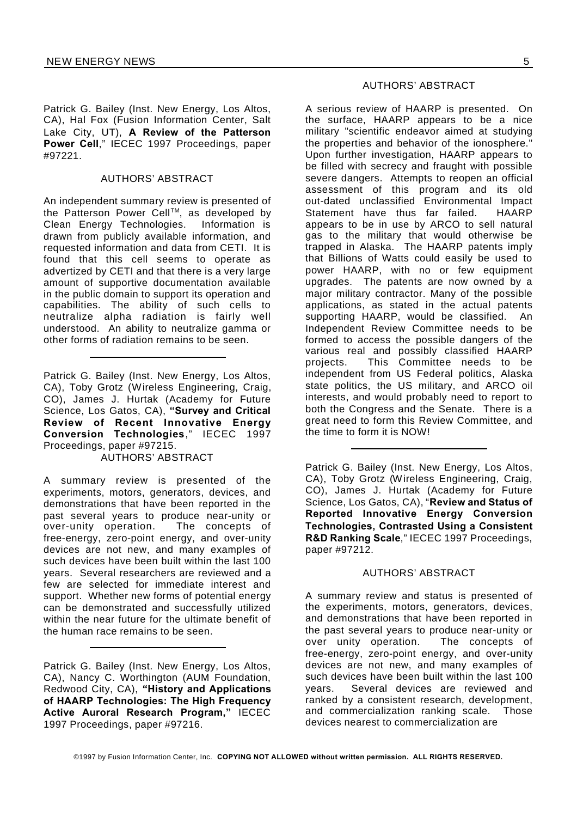Patrick G. Bailey (Inst. New Energy, Los Altos, CA), Hal Fox (Fusion Information Center, Salt Lake City, UT), **A Review of the Patterson Power Cell**," IECEC 1997 Proceedings, paper #97221.

### AUTHORS' ABSTRACT

An independent summary review is presented of the Patterson Power Cell™, as developed by Clean Energy Technologies. Information is drawn from publicly available information, and requested information and data from CETI. It is found that this cell seems to operate as advertized by CETI and that there is a very large amount of supportive documentation available in the public domain to support its operation and capabilities. The ability of such cells to neutralize alpha radiation is fairly well understood. An ability to neutralize gamma or other forms of radiation remains to be seen.

Patrick G. Bailey (Inst. New Energy, Los Altos, CA), Toby Grotz (Wireless Engineering, Craig, CO), James J. Hurtak (Academy for Future Science, Los Gatos, CA), **"Survey and Critical Review of Recent Innovative Energy Conversion Technologies**," IECEC 1997 Proceedings, paper #97215. AUTHORS' ABSTRACT

A summary review is presented of the experiments, motors, generators, devices, and demonstrations that have been reported in the past several years to produce near-unity or<br>over-unity operation. The concepts of over-unity operation. free-energy, zero-point energy, and over-unity devices are not new, and many examples of such devices have been built within the last 100 years. Several researchers are reviewed and a few are selected for immediate interest and support. Whether new forms of potential energy can be demonstrated and successfully utilized within the near future for the ultimate benefit of the human race remains to be seen.

Patrick G. Bailey (Inst. New Energy, Los Altos, CA), Nancy C. Worthington (AUM Foundation, Redwood City, CA), **"History and Applications of HAARP Technologies: The High Frequency Active Auroral Research Program,"** IECEC 1997 Proceedings, paper #97216.

### AUTHORS' ABSTRACT

A serious review of HAARP is presented. On the surface, HAARP appears to be a nice military "scientific endeavor aimed at studying the properties and behavior of the ionosphere." Upon further investigation, HAARP appears to be filled with secrecy and fraught with possible severe dangers. Attempts to reopen an official assessment of this program and its old out-dated unclassified Environmental Impact Statement have thus far failed. HAARP appears to be in use by ARCO to sell natural gas to the military that would otherwise be trapped in Alaska. The HAARP patents imply that Billions of Watts could easily be used to power HAARP, with no or few equipment upgrades. The patents are now owned by a major military contractor. Many of the possible applications, as stated in the actual patents supporting HAARP, would be classified. An Independent Review Committee needs to be formed to access the possible dangers of the various real and possibly classified HAARP projects. This Committee needs to be independent from US Federal politics, Alaska state politics, the US military, and ARCO oil interests, and would probably need to report to both the Congress and the Senate. There is a great need to form this Review Committee, and the time to form it is NOW!

Patrick G. Bailey (Inst. New Energy, Los Altos, CA), Toby Grotz (Wireless Engineering, Craig, CO), James J. Hurtak (Academy for Future Science, Los Gatos, CA), "**Review and Status of Reported Innovative Energy Conversion Technologies, Contrasted Using a Consistent R&D Ranking Scale**," IECEC 1997 Proceedings, paper #97212.

### AUTHORS' ABSTRACT

A summary review and status is presented of the experiments, motors, generators, devices, and demonstrations that have been reported in the past several years to produce near-unity or over unity operation. The concepts of free-energy, zero-point energy, and over-unity devices are not new, and many examples of such devices have been built within the last 100 years. Several devices are reviewed and ranked by a consistent research, development, and commercialization ranking scale. Those devices nearest to commercialization are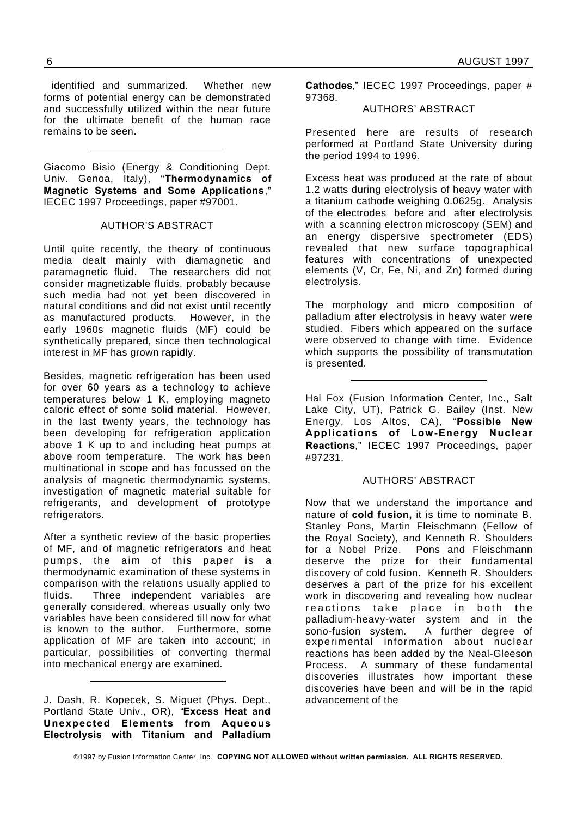identified and summarized. Whether new forms of potential energy can be demonstrated and successfully utilized within the near future for the ultimate benefit of the human race remains to be seen.

Giacomo Bisio (Energy & Conditioning Dept. Univ. Genoa, Italy), "**Thermodynamics of Magnetic Systems and Some Applications**," IECEC 1997 Proceedings, paper #97001.

### AUTHOR'S ABSTRACT

Until quite recently, the theory of continuous media dealt mainly with diamagnetic and paramagnetic fluid. The researchers did not consider magnetizable fluids, probably because such media had not yet been discovered in natural conditions and did not exist until recently as manufactured products. However, in the early 1960s magnetic fluids (MF) could be synthetically prepared, since then technological interest in MF has grown rapidly.

Besides, magnetic refrigeration has been used for over 60 years as a technology to achieve temperatures below 1 K, employing magneto caloric effect of some solid material. However, in the last twenty years, the technology has been developing for refrigeration application above 1 K up to and including heat pumps at above room temperature. The work has been multinational in scope and has focussed on the analysis of magnetic thermodynamic systems, investigation of magnetic material suitable for refrigerants, and development of prototype refrigerators.

After a synthetic review of the basic properties of MF, and of magnetic refrigerators and heat pumps, the aim of this paper is a thermodynamic examination of these systems in comparison with the relations usually applied to fluids. Three independent variables are generally considered, whereas usually only two variables have been considered till now for what is known to the author. Furthermore, some application of MF are taken into account; in particular, possibilities of converting thermal into mechanical energy are examined.

J. Dash, R. Kopecek, S. Miguet (Phys. Dept., Portland State Univ., OR), "**Excess Heat and Unexpected Elements from Aqueous Electrolysis with Titanium and Palladium** **Cathodes**," IECEC 1997 Proceedings, paper # 97368.

### AUTHORS' ABSTRACT

Presented here are results of research performed at Portland State University during the period 1994 to 1996.

Excess heat was produced at the rate of about 1.2 watts during electrolysis of heavy water with a titanium cathode weighing 0.0625g. Analysis of the electrodes before and after electrolysis with a scanning electron microscopy (SEM) and an energy dispersive spectrometer (EDS) revealed that new surface topographical features with concentrations of unexpected elements (V, Cr, Fe, Ni, and Zn) formed during electrolysis.

The morphology and micro composition of palladium after electrolysis in heavy water were studied. Fibers which appeared on the surface were observed to change with time. Evidence which supports the possibility of transmutation is presented.

Hal Fox (Fusion Information Center, Inc., Salt Lake City, UT), Patrick G. Bailey (Inst. New Energy, Los Altos, CA), "**Possible New Applications of Low-Energy Nuclear Reactions**," IECEC 1997 Proceedings, paper #97231.

### AUTHORS' ABSTRACT

Now that we understand the importance and nature of **cold fusion,** it is time to nominate B. Stanley Pons, Martin Fleischmann (Fellow of the Royal Society), and Kenneth R. Shoulders for a Nobel Prize. Pons and Fleischmann deserve the prize for their fundamental discovery of cold fusion. Kenneth R. Shoulders deserves a part of the prize for his excellent work in discovering and revealing how nuclear reactions take place in both the palladium-heavy-water system and in the sono-fusion system. A further degree of experimental information about nuclear reactions has been added by the Neal-Gleeson Process. A summary of these fundamental discoveries illustrates how important these discoveries have been and will be in the rapid advancement of the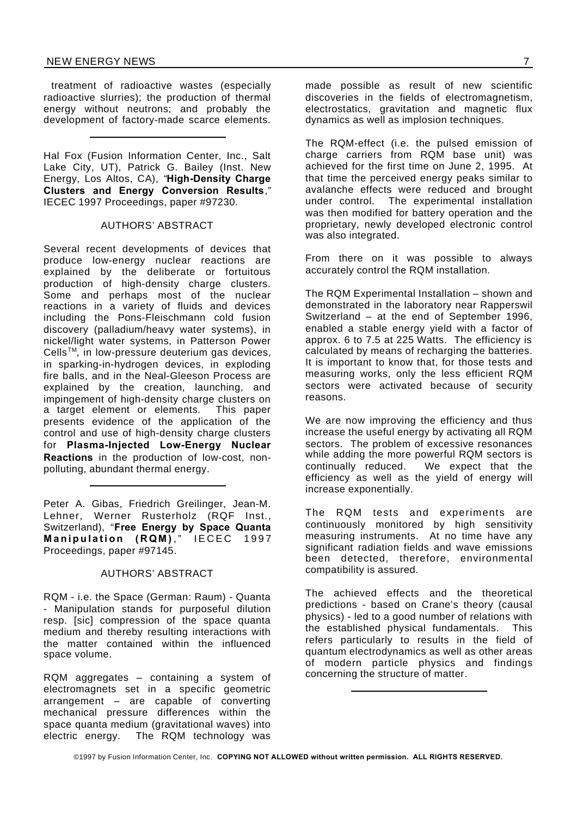treatment of radioactive wastes (especially radioactive slurries); the production of thermal energy without neutrons; and probably the development of factory-made scarce elements.

Hal Fox (Fusion Information Center, Inc., Salt Lake City, UT), Patrick G. Bailey (Inst. New Energy, Los Altos, CA), "**High-Density Charge Clusters and Energy Conversion Results**," IECEC 1997 Proceedings, paper #97230.

### AUTHORS' ABSTRACT

Several recent developments of devices that produce low-energy nuclear reactions are explained by the deliberate or fortuitous production of high-density charge clusters. Some and perhaps most of the nuclear reactions in a variety of fluids and devices including the Pons-Fleischmann cold fusion discovery (palladium/heavy water systems), in nickel/light water systems, in Patterson Power  $Cells<sup>TM</sup>$ , in low-pressure deuterium gas devices, in sparking-in-hydrogen devices, in exploding fire balls, and in the Neal-Gleeson Process are explained by the creation, launching, and impingement of high-density charge clusters on<br>a target element or elements. This paper a target element or elements. presents evidence of the application of the control and use of high-density charge clusters for **Plasma-Injected Low-Energy Nuclear Reactions** in the production of low-cost, nonpolluting, abundant thermal energy.

Peter A. Gibas, Friedrich Greilinger, Jean-M. Lehner, Werner Rusterholz (RQF Inst., Switzerland), "**Free Energy by Space Quanta Manipulation (RQM)**, IECEC 1997 Proceedings, paper #97145.

### AUTHORS' ABSTRACT

RQM - i.e. the Space (German: Raum) - Quanta - Manipulation stands for purposeful dilution resp. [sic] compression of the space quanta medium and thereby resulting interactions with the matter contained within the influenced space volume.

RQM aggregates – containing a system of electromagnets set in a specific geometric arrangement – are capable of converting mechanical pressure differences within the space quanta medium (gravitational waves) into electric energy. The RQM technology was

made possible as result of new scientific discoveries in the fields of electromagnetism, electrostatics, gravitation and magnetic flux dynamics as well as implosion techniques.

The RQM-effect (i.e. the pulsed emission of charge carriers from RQM base unit) was achieved for the first time on June 2, 1995. At that time the perceived energy peaks similar to avalanche effects were reduced and brought under control. The experimental installation was then modified for battery operation and the proprietary, newly developed electronic control was also integrated.

From there on it was possible to always accurately control the RQM installation.

The RQM Experimental Installation – shown and demonstrated in the laboratory near Rapperswil Switzerland – at the end of September 1996, enabled a stable energy yield with a factor of approx. 6 to 7.5 at 225 Watts. The efficiency is calculated by means of recharging the batteries. It is important to know that, for those tests and measuring works, only the less efficient RQM sectors were activated because of security reasons.

We are now improving the efficiency and thus increase the useful energy by activating all RQM sectors. The problem of excessive resonances while adding the more powerful RQM sectors is continually reduced. We expect that the efficiency as well as the yield of energy will increase exponentially.

The RQM tests and experiments are continuously monitored by high sensitivity measuring instruments. At no time have any significant radiation fields and wave emissions been detected, therefore, environmental compatibility is assured.

The achieved effects and the theoretical predictions - based on Crane's theory (causal physics) - led to a good number of relations with the established physical fundamentals. This refers particularly to results in the field of quantum electrodynamics as well as other areas of modern particle physics and findings concerning the structure of matter.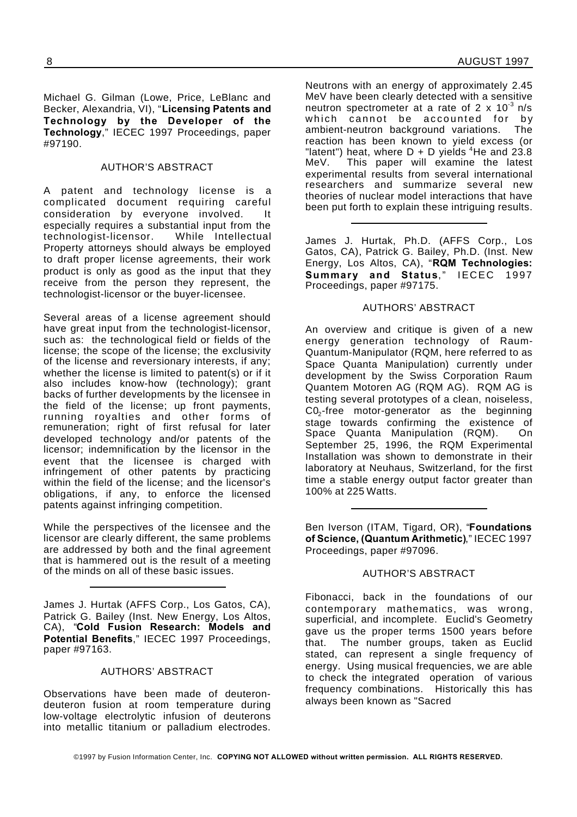Michael G. Gilman (Lowe, Price, LeBlanc and Becker, Alexandria, VI), "**Licensing Patents and Technology by the Developer of the Technology**," IECEC 1997 Proceedings, paper #97190.

### AUTHOR'S ABSTRACT

A patent and technology license is a complicated document requiring careful consideration by everyone involved. It especially requires a substantial input from the technologist-licensor. While Intellectual Property attorneys should always be employed to draft proper license agreements, their work product is only as good as the input that they receive from the person they represent, the technologist-licensor or the buyer-licensee.

Several areas of a license agreement should have great input from the technologist-licensor, such as: the technological field or fields of the license; the scope of the license; the exclusivity of the license and reversionary interests, if any; whether the license is limited to patent(s) or if it also includes know-how (technology); grant backs of further developments by the licensee in the field of the license; up front payments, running royalties and other forms of remuneration; right of first refusal for later developed technology and/or patents of the licensor; indemnification by the licensor in the event that the licensee is charged with infringement of other patents by practicing within the field of the license; and the licensor's obligations, if any, to enforce the licensed patents against infringing competition.

While the perspectives of the licensee and the licensor are clearly different, the same problems are addressed by both and the final agreement that is hammered out is the result of a meeting of the minds on all of these basic issues.

James J. Hurtak (AFFS Corp., Los Gatos, CA), Patrick G. Bailey (Inst. New Energy, Los Altos, CA), "**Cold Fusion Research: Models and Potential Benefits**," IECEC 1997 Proceedings, paper #97163.

### AUTHORS' ABSTRACT

Observations have been made of deuterondeuteron fusion at room temperature during low-voltage electrolytic infusion of deuterons into metallic titanium or palladium electrodes.

Neutrons with an energy of approximately 2.45 MeV have been clearly detected with a sensitive neutron spectrometer at a rate of 2 x  $10^{-3}$  n/s which cannot be accounted for by ambient-neutron background variations. The reaction has been known to yield excess (or "latent") heat, where  $D + D$  yields <sup>4</sup>He and 23.8 MeV. This paper will examine the latest experimental results from several international researchers and summarize several new theories of nuclear model interactions that have been put forth to explain these intriguing results.

James J. Hurtak, Ph.D. (AFFS Corp., Los Gatos, CA), Patrick G. Bailey, Ph.D. (Inst. New Energy, Los Altos, CA), "**RQM Technologies: Summary and Status.**" IECEC 1997 Proceedings, paper #97175.

### AUTHORS' ABSTRACT

An overview and critique is given of a new energy generation technology of Raum-Quantum-Manipulator (RQM, here referred to as Space Quanta Manipulation) currently under development by the Swiss Corporation Raum Quantem Motoren AG (RQM AG). RQM AG is testing several prototypes of a clean, noiseless,  $CO<sub>2</sub>$ -free motor-generator as the beginning stage towards confirming the existence of Space Quanta Manipulation (RQM). On September 25, 1996, the RQM Experimental Installation was shown to demonstrate in their laboratory at Neuhaus, Switzerland, for the first time a stable energy output factor greater than 100% at 225 Watts.

Ben Iverson (ITAM, Tigard, OR), "**Foundations of Science, (Quantum Arithmetic)**," IECEC 1997 Proceedings, paper #97096.

### AUTHOR'S ABSTRACT

Fibonacci, back in the foundations of our contemporary mathematics, was wrong, superficial, and incomplete. Euclid's Geometry gave us the proper terms 1500 years before that. The number groups, taken as Euclid stated, can represent a single frequency of energy. Using musical frequencies, we are able to check the integrated operation of various frequency combinations. Historically this has always been known as "Sacred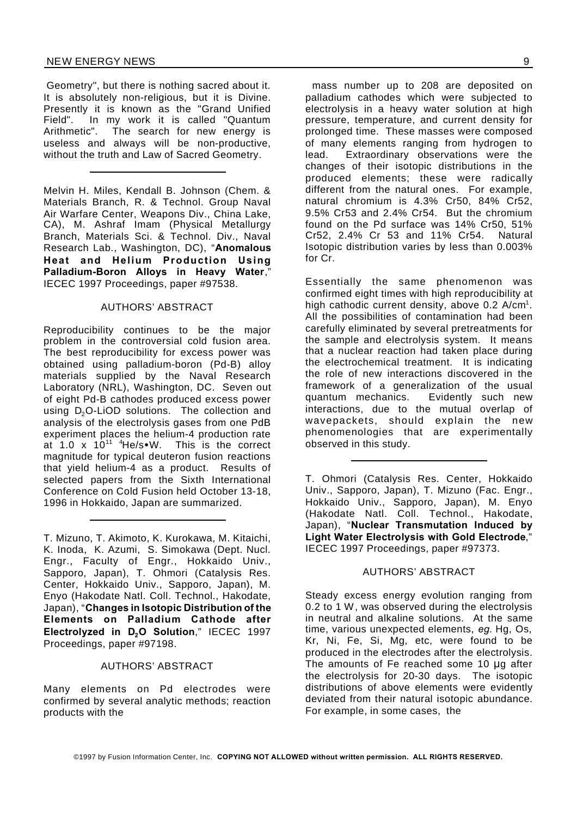Geometry", but there is nothing sacred about it. It is absolutely non-religious, but it is Divine. Presently it is known as the "Grand Unified Field". In my work it is called "Quantum Arithmetic". The search for new energy is useless and always will be non-productive, without the truth and Law of Sacred Geometry.

Melvin H. Miles, Kendall B. Johnson (Chem. & Materials Branch, R. & Technol. Group Naval Air Warfare Center, Weapons Div., China Lake, CA), M. Ashraf Imam (Physical Metallurgy Branch, Materials Sci. & Technol. Div., Naval Research Lab., Washington, DC), "**Anomalous Heat and Helium Production Using Palladium-Boron Alloys in Heavy Water**," IECEC 1997 Proceedings, paper #97538.

### AUTHORS' ABSTRACT

Reproducibility continues to be the major problem in the controversial cold fusion area. The best reproducibility for excess power was obtained using palladium-boron (Pd-B) alloy materials supplied by the Naval Research Laboratory (NRL), Washington, DC. Seven out of eight Pd-B cathodes produced excess power using  $D_2O$ -LiOD solutions. The collection and analysis of the electrolysis gases from one PdB experiment places the helium-4 production rate at 1.0 x  $10^{11}$  <sup>4</sup>He/s•W. This is the correct magnitude for typical deuteron fusion reactions that yield helium-4 as a product. Results of selected papers from the Sixth International Conference on Cold Fusion held October 13-18, 1996 in Hokkaido, Japan are summarized.

T. Mizuno, T. Akimoto, K. Kurokawa, M. Kitaichi, K. Inoda, K. Azumi, S. Simokawa (Dept. Nucl. Engr., Faculty of Engr., Hokkaido Univ., Sapporo, Japan), T. Ohmori (Catalysis Res. Center, Hokkaido Univ., Sapporo, Japan), M. Enyo (Hakodate Natl. Coll. Technol., Hakodate, Japan), "**Changes in Isotopic Distribution of the Elements on Palladium Cathode after Electrolyzed in D2O Solution**," IECEC 1997 Proceedings, paper #97198.

### AUTHORS' ABSTRACT

Many elements on Pd electrodes were confirmed by several analytic methods; reaction products with the

mass number up to 208 are deposited on palladium cathodes which were subjected to electrolysis in a heavy water solution at high pressure, temperature, and current density for prolonged time. These masses were composed of many elements ranging from hydrogen to lead. Extraordinary observations were the changes of their isotopic distributions in the produced elements; these were radically different from the natural ones. For example, natural chromium is 4.3% Cr50, 84% Cr52, 9.5% Cr53 and 2.4% Cr54. But the chromium found on the Pd surface was 14% Cr50, 51% Cr52, 2.4% Cr 53 and 11% Cr54. Natural Isotopic distribution varies by less than 0.003% for Cr.

Essentially the same phenomenon was confirmed eight times with high reproducibility at high cathodic current density, above 0.2 A/cm<sup>1</sup>. All the possibilities of contamination had been carefully eliminated by several pretreatments for the sample and electrolysis system. It means that a nuclear reaction had taken place during the electrochemical treatment. It is indicating the role of new interactions discovered in the framework of a generalization of the usual quantum mechanics. Evidently such new interactions, due to the mutual overlap of wavepackets, should explain the new phenomenologies that are experimentally observed in this study.

T. Ohmori (Catalysis Res. Center, Hokkaido Univ., Sapporo, Japan), T. Mizuno (Fac. Engr., Hokkaido Univ., Sapporo, Japan), M. Enyo (Hakodate Natl. Coll. Technol., Hakodate, Japan), "**Nuclear Transmutation Induced by Light Water Electrolysis with Gold Electrode**," IECEC 1997 Proceedings, paper #97373.

### AUTHORS' ABSTRACT

Steady excess energy evolution ranging from 0.2 to 1 W, was observed during the electrolysis in neutral and alkaline solutions. At the same time, various unexpected elements, *eg.* Hg, Os, Kr, Ni, Fe, Si, Mg, etc, were found to be produced in the electrodes after the electrolysis. The amounts of Fe reached some 10  $\mu$ g after the electrolysis for 20-30 days. The isotopic distributions of above elements were evidently deviated from their natural isotopic abundance. For example, in some cases, the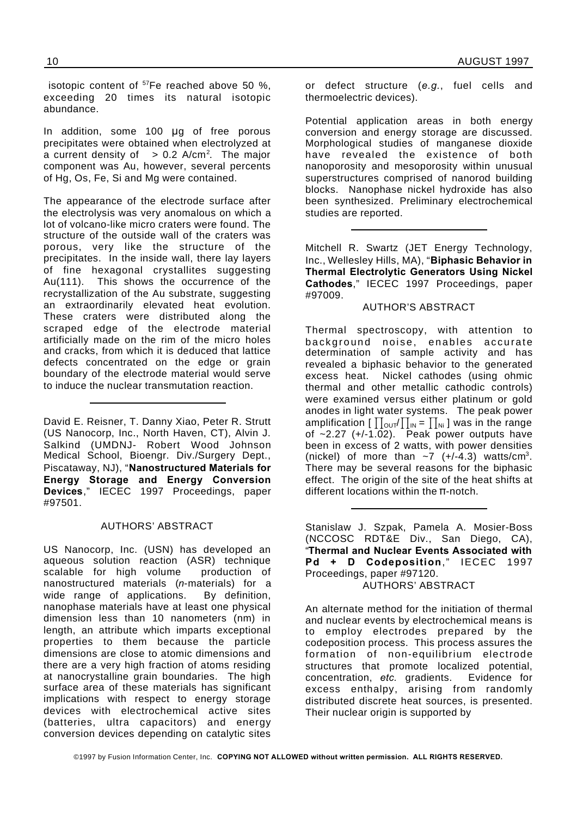isotopic content of <sup>57</sup>Fe reached above 50 %, exceeding 20 times its natural isotopic abundance.

In addition, some 100 µg of free porous precipitates were obtained when electrolyzed at a current density of  $\Rightarrow$  0.2 A/cm<sup>2</sup>. The major component was Au, however, several percents of Hg, Os, Fe, Si and Mg were contained.

The appearance of the electrode surface after the electrolysis was very anomalous on which a lot of volcano-like micro craters were found. The structure of the outside wall of the craters was porous, very like the structure of the precipitates. In the inside wall, there lay layers of fine hexagonal crystallites suggesting Au(111). This shows the occurrence of the recrystallization of the Au substrate, suggesting an extraordinarily elevated heat evolution. These craters were distributed along the scraped edge of the electrode material artificially made on the rim of the micro holes and cracks, from which it is deduced that lattice defects concentrated on the edge or grain boundary of the electrode material would serve to induce the nuclear transmutation reaction.

David E. Reisner, T. Danny Xiao, Peter R. Strutt (US Nanocorp, Inc., North Haven, CT), Alvin J. Salkind (UMDNJ- Robert Wood Johnson Medical School, Bioengr. Div./Surgery Dept., Piscataway, NJ), "**Nanostructured Materials for Energy Storage and Energy Conversion Devices**," IECEC 1997 Proceedings, paper #97501.

### AUTHORS' ABSTRACT

US Nanocorp, Inc. (USN) has developed an aqueous solution reaction (ASR) technique scalable for high volume production of nanostructured materials (*n*-materials) for a wide range of applications. By definition, nanophase materials have at least one physical dimension less than 10 nanometers (nm) in length, an attribute which imparts exceptional properties to them because the particle dimensions are close to atomic dimensions and there are a very high fraction of atoms residing at nanocrystalline grain boundaries. The high surface area of these materials has significant implications with respect to energy storage devices with electrochemical active sites (batteries, ultra capacitors) and energy conversion devices depending on catalytic sites

or defect structure (*e.g.*, fuel cells and thermoelectric devices).

Potential application areas in both energy conversion and energy storage are discussed. Morphological studies of manganese dioxide have revealed the existence of both nanoporosity and mesoporosity within unusual superstructures comprised of nanorod building blocks. Nanophase nickel hydroxide has also been synthesized. Preliminary electrochemical studies are reported.

Mitchell R. Swartz (JET Energy Technology, Inc., Wellesley Hills, MA), "**Biphasic Behavior in Thermal Electrolytic Generators Using Nickel Cathodes**," IECEC 1997 Proceedings, paper #97009.

### AUTHOR'S ABSTRACT

Thermal spectroscopy, with attention to background noise, enables accurate determination of sample activity and has revealed a biphasic behavior to the generated excess heat. Nickel cathodes (using ohmic thermal and other metallic cathodic controls) were examined versus either platinum or gold anodes in light water systems. The peak power amplification  $\left[\prod_{\text{OUT}}\prod_{\text{IN}}=\prod_{\text{NI}}\right]$  was in the range of  $\sim$ 2.27 (+/-1.02). Peak power outputs have been in excess of 2 watts, with power densities (nickel) of more than  $\sim$ 7 (+/-4.3) watts/cm<sup>3</sup>. There may be several reasons for the biphasic effect. The origin of the site of the heat shifts at different locations within the  $\pi$ -notch.

Stanislaw J. Szpak, Pamela A. Mosier-Boss (NCCOSC RDT&E Div., San Diego, CA), "**Thermal and Nuclear Events Associated with Pd + D Codeposition**," IECEC 1997 Proceedings, paper #97120. AUTHORS' ABSTRACT

An alternate method for the initiation of thermal and nuclear events by electrochemical means is to employ electrodes prepared by the codeposition process. This process assures the formation of non-equilibrium electrode structures that promote localized potential, concentration, *etc.* gradients. Evidence for excess enthalpy, arising from randomly distributed discrete heat sources, is presented. Their nuclear origin is supported by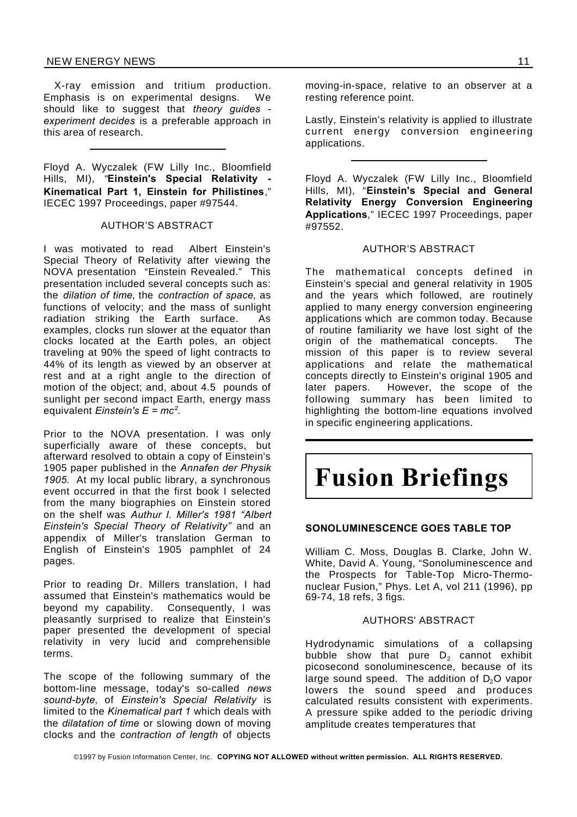### NEW ENERGY NEWS 11

X-ray emission and tritium production. Emphasis is on experimental designs. We should like to suggest that *theory guides experiment decides* is a preferable approach in this area of research.

Floyd A. Wyczalek (FW Lilly Inc., Bloomfield Hills, MI), "**Einstein's Special Relativity - Kinematical Part 1, Einstein for Philistines**," IECEC 1997 Proceedings, paper #97544.

### AUTHOR'S ABSTRACT

I was motivated to read Albert Einstein's Special Theory of Relativity after viewing the NOVA presentation "Einstein Revealed." This presentation included several concepts such as: the *dilation of time,* the *contraction of space,* as functions of velocity; and the mass of sunlight radiation striking the Earth surface. As examples, clocks run slower at the equator than clocks located at the Earth poles, an object traveling at 90% the speed of light contracts to 44% of its length as viewed by an observer at rest and at a right angle to the direction of motion of the object; and, about 4.5 pounds of sunlight per second impact Earth, energy mass equivalent *Einstein's E = mc<sup>2</sup>* .

Prior to the NOVA presentation. I was only superficially aware of these concepts, but afterward resolved to obtain a copy of Einstein's 1905 paper published in the *Annafen der Physik 1905.* At my local public library, a synchronous event occurred in that the first book I selected from the many biographies on Einstein stored on the shelf was *Authur I. Miller's 1981 "Albert Einstein's Special Theory of Relativity"* and an appendix of Miller's translation German to English of Einstein's 1905 pamphlet of 24 pages.

Prior to reading Dr. Millers translation, I had assumed that Einstein's mathematics would be beyond my capability. Consequently, I was pleasantly surprised to realize that Einstein's paper presented the development of special relativity in very lucid and comprehensible terms.

The scope of the following summary of the bottom-line message, today's so-called *news sound-byte,* of *Einstein's Special Relativity* is limited to the *Kinematical part 1* which deals with the *dilatation of time* or slowing down of moving clocks and the *contraction of length* of objects

moving-in-space, relative to an observer at a resting reference point.

Lastly, Einstein's relativity is applied to illustrate current energy conversion engineering applications.

Floyd A. Wyczalek (FW Lilly Inc., Bloomfield Hills, MI), "**Einstein's Special and General Relativity Energy Conversion Engineering Applications**," IECEC 1997 Proceedings, paper #97552.

### AUTHOR'S ABSTRACT

The mathematical concepts defined in Einstein's special and general relativity in 1905 and the years which followed, are routinely applied to many energy conversion engineering applications which are common today. Because of routine familiarity we have lost sight of the origin of the mathematical concepts. The mission of this paper is to review several applications and relate the mathematical concepts directly to Einstein's original 1905 and later papers. However, the scope of the following summary has been limited to highlighting the bottom-line equations involved in specific engineering applications.

## **Fusion Briefings**

### **SONOLUMINESCENCE GOES TABLE TOP**

William C. Moss, Douglas B. Clarke, John W. White, David A. Young, "Sonoluminescence and the Prospects for Table-Top Micro-Thermonuclear Fusion," Phys. Let A, vol 211 (1996), pp 69-74, 18 refs, 3 figs.

### AUTHORS' ABSTRACT

Hydrodynamic simulations of a collapsing bubble show that pure  $D<sub>2</sub>$  cannot exhibit picosecond sonoluminescence, because of its large sound speed. The addition of  $D_2O$  vapor lowers the sound speed and produces calculated results consistent with experiments. A pressure spike added to the periodic driving amplitude creates temperatures that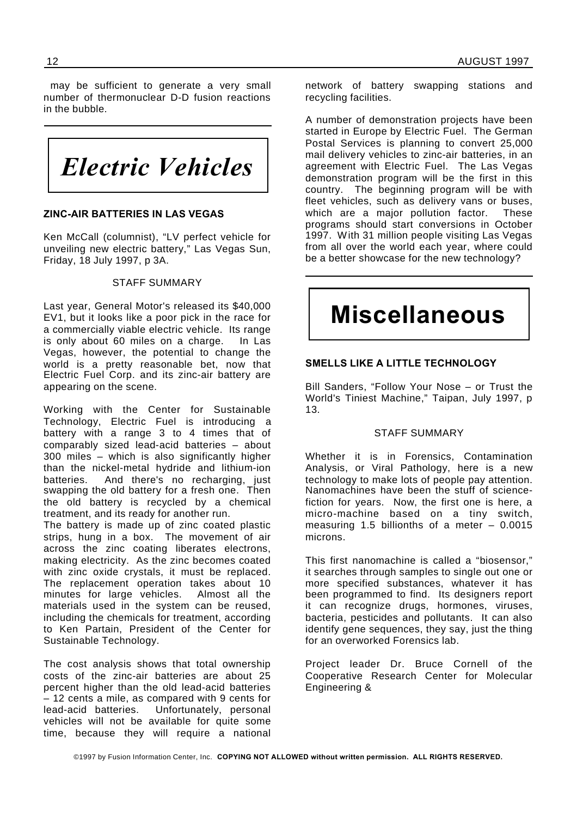may be sufficient to generate a very small number of thermonuclear D-D fusion reactions in the bubble.

*Electric Vehicles*

### **ZINC-AIR BATTERIES IN LAS VEGAS**

Ken McCall (columnist), "LV perfect vehicle for unveiling new electric battery," Las Vegas Sun, Friday, 18 July 1997, p 3A.

### STAFF SUMMARY

Last year, General Motor's released its \$40,000 EV1, but it looks like a poor pick in the race for a commercially viable electric vehicle. Its range is only about 60 miles on a charge. In Las Vegas, however, the potential to change the world is a pretty reasonable bet, now that Electric Fuel Corp. and its zinc-air battery are appearing on the scene.

Working with the Center for Sustainable Technology, Electric Fuel is introducing a battery with a range 3 to 4 times that of comparably sized lead-acid batteries – about 300 miles – which is also significantly higher than the nickel-metal hydride and lithium-ion batteries. And there's no recharging, just swapping the old battery for a fresh one. Then the old battery is recycled by a chemical treatment, and its ready for another run.

The battery is made up of zinc coated plastic strips, hung in a box. The movement of air across the zinc coating liberates electrons, making electricity. As the zinc becomes coated with zinc oxide crystals, it must be replaced. The replacement operation takes about 10 minutes for large vehicles. Almost all the materials used in the system can be reused, including the chemicals for treatment, according to Ken Partain, President of the Center for Sustainable Technology.

The cost analysis shows that total ownership costs of the zinc-air batteries are about 25 percent higher than the old lead-acid batteries – 12 cents a mile, as compared with 9 cents for lead-acid batteries. Unfortunately, personal vehicles will not be available for quite some time, because they will require a national network of battery swapping stations and recycling facilities.

A number of demonstration projects have been started in Europe by Electric Fuel. The German Postal Services is planning to convert 25,000 mail delivery vehicles to zinc-air batteries, in an agreement with Electric Fuel. The Las Vegas demonstration program will be the first in this country. The beginning program will be with fleet vehicles, such as delivery vans or buses, which are a major pollution factor. These programs should start conversions in October 1997. With 31 million people visiting Las Vegas from all over the world each year, where could be a better showcase for the new technology?

## **Miscellaneous**

### **SMELLS LIKE A LITTLE TECHNOLOGY**

Bill Sanders, "Follow Your Nose – or Trust the World's Tiniest Machine," Taipan, July 1997, p 13.

#### STAFF SUMMARY

Whether it is in Forensics, Contamination Analysis, or Viral Pathology, here is a new technology to make lots of people pay attention. Nanomachines have been the stuff of sciencefiction for years. Now, the first one is here, a micro-machine based on a tiny switch, measuring 1.5 billionths of a meter – 0.0015 microns.

This first nanomachine is called a "biosensor," it searches through samples to single out one or more specified substances, whatever it has been programmed to find. Its designers report it can recognize drugs, hormones, viruses, bacteria, pesticides and pollutants. It can also identify gene sequences, they say, just the thing for an overworked Forensics lab.

Project leader Dr. Bruce Cornell of the Cooperative Research Center for Molecular Engineering &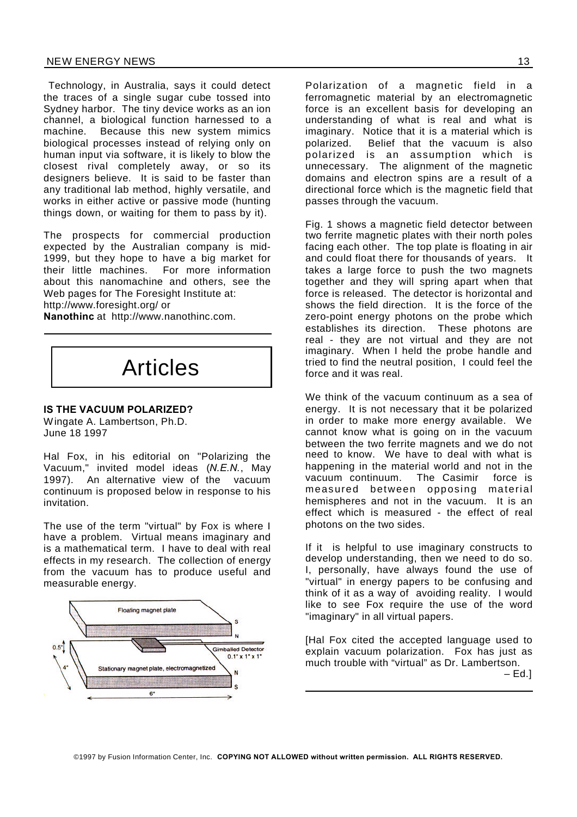### NEW ENERGY NEWS 13

Technology, in Australia, says it could detect the traces of a single sugar cube tossed into Sydney harbor. The tiny device works as an ion channel, a biological function harnessed to a machine. Because this new system mimics biological processes instead of relying only on human input via software, it is likely to blow the closest rival completely away, or so its designers believe. It is said to be faster than any traditional lab method, highly versatile, and works in either active or passive mode (hunting things down, or waiting for them to pass by it).

The prospects for commercial production expected by the Australian company is mid-1999, but they hope to have a big market for their little machines. For more information about this nanomachine and others, see the Web pages for The Foresight Institute at: http://www.foresight.org/ or

**Nanothinc** at http://www.nanothinc.com.

## Articles

### **IS THE VACUUM POLARIZED?**

Wingate A. Lambertson, Ph.D. June 18 1997

Hal Fox, in his editorial on "Polarizing the Vacuum," invited model ideas (*N.E.N.*, May 1997). An alternative view of the vacuum continuum is proposed below in response to his invitation.

The use of the term "virtual" by Fox is where I have a problem. Virtual means imaginary and is a mathematical term. I have to deal with real effects in my research. The collection of energy from the vacuum has to produce useful and measurable energy.



Polarization of a magnetic field in a ferromagnetic material by an electromagnetic force is an excellent basis for developing an understanding of what is real and what is imaginary. Notice that it is a material which is polarized. Belief that the vacuum is also polarized is an assumption which is unnecessary. The alignment of the magnetic domains and electron spins are a result of a directional force which is the magnetic field that passes through the vacuum.

Fig. 1 shows a magnetic field detector between two ferrite magnetic plates with their north poles facing each other. The top plate is floating in air and could float there for thousands of years. It takes a large force to push the two magnets together and they will spring apart when that force is released. The detector is horizontal and shows the field direction. It is the force of the zero-point energy photons on the probe which establishes its direction. These photons are real - they are not virtual and they are not imaginary. When I held the probe handle and tried to find the neutral position, I could feel the force and it was real.

We think of the vacuum continuum as a sea of energy. It is not necessary that it be polarized in order to make more energy available. We cannot know what is going on in the vacuum between the two ferrite magnets and we do not need to know. We have to deal with what is happening in the material world and not in the vacuum continuum. The Casimir force is measured between opposing material hemispheres and not in the vacuum. It is an effect which is measured - the effect of real photons on the two sides.

If it is helpful to use imaginary constructs to develop understanding, then we need to do so. I, personally, have always found the use of "virtual" in energy papers to be confusing and think of it as a way of avoiding reality. I would like to see Fox require the use of the word "imaginary" in all virtual papers.

[Hal Fox cited the accepted language used to explain vacuum polarization. Fox has just as much trouble with "virtual" as Dr. Lambertson.  $-$  Ed.]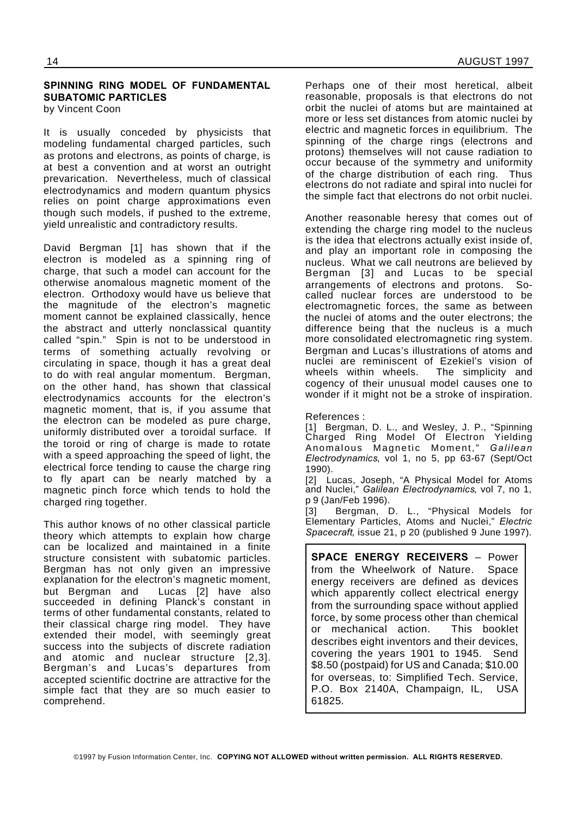### **SPINNING RING MODEL OF FUNDAMENTAL SUBATOMIC PARTICLES** by Vincent Coon

It is usually conceded by physicists that modeling fundamental charged particles, such as protons and electrons, as points of charge, is at best a convention and at worst an outright prevarication. Nevertheless, much of classical electrodynamics and modern quantum physics relies on point charge approximations even though such models, if pushed to the extreme, yield unrealistic and contradictory results.

David Bergman [1] has shown that if the electron is modeled as a spinning ring of charge, that such a model can account for the otherwise anomalous magnetic moment of the electron. Orthodoxy would have us believe that the magnitude of the electron's magnetic moment cannot be explained classically, hence the abstract and utterly nonclassical quantity called "spin." Spin is not to be understood in terms of something actually revolving or circulating in space, though it has a great deal to do with real angular momentum. Bergman, on the other hand, has shown that classical electrodynamics accounts for the electron's magnetic moment, that is, if you assume that the electron can be modeled as pure charge, uniformly distributed over a toroidal surface. If the toroid or ring of charge is made to rotate with a speed approaching the speed of light, the electrical force tending to cause the charge ring to fly apart can be nearly matched by a magnetic pinch force which tends to hold the charged ring together.

This author knows of no other classical particle theory which attempts to explain how charge can be localized and maintained in a finite structure consistent with subatomic particles. Bergman has not only given an impressive explanation for the electron's magnetic moment, but Bergman and Lucas [2] have also succeeded in defining Planck's constant in terms of other fundamental constants, related to their classical charge ring model. They have extended their model, with seemingly great success into the subjects of discrete radiation and atomic and nuclear structure [2,3]. Bergman's and Lucas's departures from accepted scientific doctrine are attractive for the simple fact that they are so much easier to comprehend.

Perhaps one of their most heretical, albeit reasonable, proposals is that electrons do not orbit the nuclei of atoms but are maintained at more or less set distances from atomic nuclei by electric and magnetic forces in equilibrium. The spinning of the charge rings (electrons and protons) themselves will not cause radiation to occur because of the symmetry and uniformity of the charge distribution of each ring. Thus electrons do not radiate and spiral into nuclei for the simple fact that electrons do not orbit nuclei.

Another reasonable heresy that comes out of extending the charge ring model to the nucleus is the idea that electrons actually exist inside of, and play an important role in composing the nucleus. What we call neutrons are believed by Bergman [3] and Lucas to be special arrangements of electrons and protons. Socalled nuclear forces are understood to be electromagnetic forces, the same as between the nuclei of atoms and the outer electrons; the difference being that the nucleus is a much more consolidated electromagnetic ring system. Bergman and Lucas's illustrations of atoms and nuclei are reminiscent of Ezekiel's vision of wheels within wheels. The simplicity and cogency of their unusual model causes one to wonder if it might not be a stroke of inspiration.

References :

[1] Bergman, D. L., and Wesley, J. P., "Spinning Charged Ring Model Of Electron Yielding Anomalous Magnetic Moment," *Galilean Electrodynamics*, vol 1, no 5, pp 63-67 (Sept/Oct 1990). [2] Lucas, Joseph, "A Physical Model for Atoms

and Nuclei," *Galilean Electrodynamics*, vol 7, no 1, p 9 (Jan/Feb 1996).

[3] Bergman, D. L., "Physical Models for Elementary Particles, Atoms and Nuclei," *Electric Spacecraft*, issue 21, p 20 (published 9 June 1997).

**SPACE ENERGY RECEIVERS** – Power from the Wheelwork of Nature. Space energy receivers are defined as devices which apparently collect electrical energy from the surrounding space without applied force, by some process other than chemical or mechanical action. This booklet describes eight inventors and their devices, covering the years 1901 to 1945. Send \$8.50 (postpaid) for US and Canada; \$10.00 for overseas, to: Simplified Tech. Service, P.O. Box 2140A, Champaign, IL, USA 61825.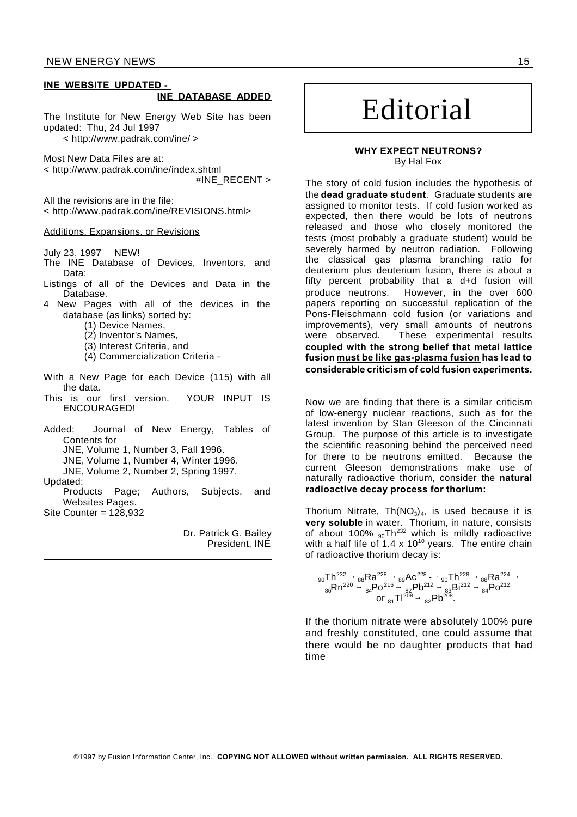### **INE WEBSITE UPDATED - INE DATABASE ADDED**

The Institute for New Energy Web Site has been updated: Thu, 24 Jul 1997

< http://www.padrak.com/ine/ >

Most New Data Files are at: < http://www.padrak.com/ine/index.shtml

#INE\_RECENT >

All the revisions are in the file: < http://www.padrak.com/ine/REVISIONS.html>

### Additions, Expansions, or Revisions

July 23, 1997 NEW!

- The INE Database of Devices, Inventors, and Data:
- Listings of all of the Devices and Data in the Database.
- 4 New Pages with all of the devices in the database (as links) sorted by:
	- (1) Device Names,
	- (2) Inventor's Names,
	- (3) Interest Criteria, and
	- (4) Commercialization Criteria -
- With a New Page for each Device (115) with all the data.
- This is our first version. YOUR INPUT IS ENCOURAGED!
- Added: Journal of New Energy, Tables of Contents for JNE, Volume 1, Number 3, Fall 1996. JNE, Volume 1, Number 4, Winter 1996. JNE, Volume 2, Number 2, Spring 1997.
- Updated: Products Page; Authors, Subjects, and Websites Pages.
- Site Counter = 128,932

Dr. Patrick G. Bailey President, INE

## Editorial

### **WHY EXPECT NEUTRONS?** By Hal Fox

The story of cold fusion includes the hypothesis of the **dead graduate student**. Graduate students are assigned to monitor tests. If cold fusion worked as expected, then there would be lots of neutrons released and those who closely monitored the tests (most probably a graduate student) would be severely harmed by neutron radiation. Following the classical gas plasma branching ratio for deuterium plus deuterium fusion, there is about a fifty percent probability that a d+d fusion will produce neutrons. However, in the over 600 papers reporting on successful replication of the Pons-Fleischmann cold fusion (or variations and improvements), very small amounts of neutrons were observed. These experimental results **coupled with the strong belief that metal lattice fusion must be like gas-plasma fusion has lead to considerable criticism of cold fusion experiments.**

Now we are finding that there is a similar criticism of low-energy nuclear reactions, such as for the latest invention by Stan Gleeson of the Cincinnati Group. The purpose of this article is to investigate the scientific reasoning behind the perceived need for there to be neutrons emitted. Because the current Gleeson demonstrations make use of naturally radioactive thorium, consider the **natural radioactive decay process for thorium:**

Thorium Nitrate, Th $(\mathsf{NO}_3)_4$ , is used because it is **very soluble** in water. Thorium, in nature, consists of about 100%  $_{90}$ Th<sup>232</sup> which is mildly radioactive with a half life of  $1.4 \times 10^{10}$  years. The entire chain of radioactive thorium decay is:

$$
^{90} \text{Th}^{232} \rightarrow ^{88} \text{Ra}^{228} \rightarrow ^{89} \text{Ac}^{228} \rightarrow ^{90} \text{Th}^{228} \rightarrow ^{88} \text{Ra}^{224} \rightarrow ^{88} \text{Ra}^{224} \rightarrow ^{88} \text{Ra}^{224} \rightarrow ^{84} \text{Po}^{216} \rightarrow ^{82} \text{Po}^{212} \rightarrow ^{83} \text{Bi}^{212} \rightarrow ^{84} \text{Po}^{212} \rightarrow ^{84} \text{Po}^{212}
$$

If the thorium nitrate were absolutely 100% pure and freshly constituted, one could assume that there would be no daughter products that had time

©1997 by Fusion Information Center, Inc. **COPYING NOT ALLOWED without written permission. ALL RIGHTS RESERVED.**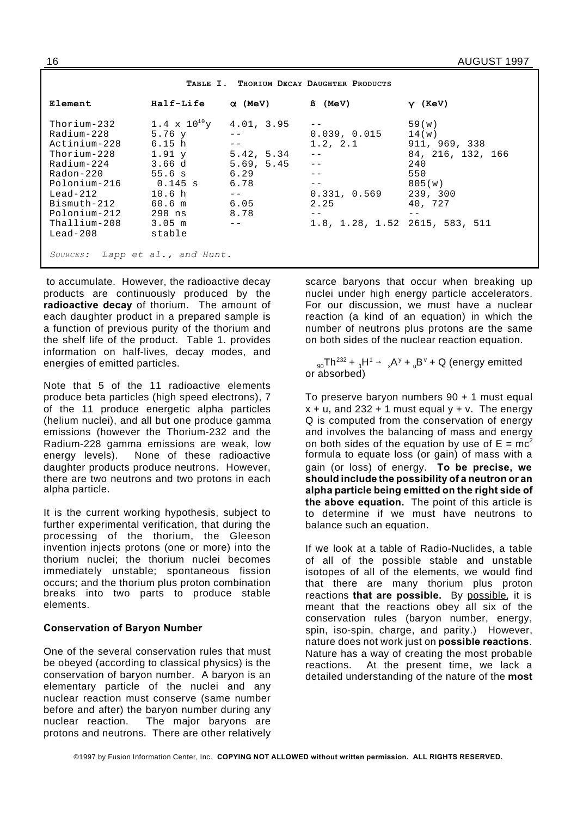| Element                                                                                                                                                                                       | Half-Life                                                                                                                                                                                  | $\alpha$ (MeV)                                                                           | <b>B</b> (MeV)                                                                                                         | $Y$ (KeV)                                                                                           |
|-----------------------------------------------------------------------------------------------------------------------------------------------------------------------------------------------|--------------------------------------------------------------------------------------------------------------------------------------------------------------------------------------------|------------------------------------------------------------------------------------------|------------------------------------------------------------------------------------------------------------------------|-----------------------------------------------------------------------------------------------------|
| Thorium-232<br>Radium-228<br>Actinium-228<br>Thorium- $228$<br>Radium-224<br>Radon-220<br>Polonium-216<br>$Lead-212$<br>Bismuth-212<br>Polonium-212<br>Thallium-208<br>$Lead-208$<br>SOURCES: | $1.4 \times 10^{10}$ y<br>$5.76$ y<br>6.15 <sub>h</sub><br>$1.91$ y<br>3.66d<br>55.6 s<br>0.145 s<br>10.6 <sub>h</sub><br>60.6 m<br>298 ns<br>$3.05$ m<br>stable<br>Lapp et al., and Hunt. | 4.01, 3.95<br>5.42, 5.34<br>5.69, 5.45<br>6.29<br>6.78<br>$- -$<br>6.05<br>8.78<br>$- -$ | 0.039, 0.015<br>1.2, 2.1<br>$- -$<br>$- -$<br>$- -$<br>$- -$<br>0.331, 0.569<br>2.25<br>1.8, 1.28, 1.52 2615, 583, 511 | 59(w)<br>14(w)<br>911, 969, 338<br>84, 216, 132, 166<br>240<br>550<br>805(w)<br>239, 300<br>40, 727 |
|                                                                                                                                                                                               |                                                                                                                                                                                            |                                                                                          |                                                                                                                        |                                                                                                     |

**TABLE I. THORIUM DECAY DAUGHTER PRODUCTS**

to accumulate. However, the radioactive decay products are continuously produced by the **radioactive decay** of thorium. The amount of each daughter product in a prepared sample is a function of previous purity of the thorium and the shelf life of the product. Table 1. provides information on half-lives, decay modes, and energies of emitted particles.

Note that 5 of the 11 radioactive elements produce beta particles (high speed electrons), 7 of the 11 produce energetic alpha particles (helium nuclei), and all but one produce gamma emissions (however the Thorium-232 and the Radium-228 gamma emissions are weak, low energy levels). None of these radioactive daughter products produce neutrons. However, there are two neutrons and two protons in each alpha particle.

It is the current working hypothesis, subject to further experimental verification, that during the processing of the thorium, the Gleeson invention injects protons (one or more) into the thorium nuclei; the thorium nuclei becomes immediately unstable; spontaneous fission occurs; and the thorium plus proton combination breaks into two parts to produce stable elements.

### **Conservation of Baryon Number**

One of the several conservation rules that must be obeyed (according to classical physics) is the conservation of baryon number. A baryon is an elementary particle of the nuclei and any nuclear reaction must conserve (same number before and after) the baryon number during any nuclear reaction. The major baryons are protons and neutrons. There are other relatively

scarce baryons that occur when breaking up nuclei under high energy particle accelerators. For our discussion, we must have a nuclear reaction (a kind of an equation) in which the number of neutrons plus protons are the same on both sides of the nuclear reaction equation.

 $_{90}$ Th $^{232}$  +  $_{4}$ H $^{1}$  →  $_{\chi}$ A $^{y}$  +  $_{\rm u}$ B $^{\rm v}$  + Q (energy emitted or absorbed)

To preserve baryon numbers 90 + 1 must equal  $x + u$ , and 232 + 1 must equal  $y + v$ . The energy Q is computed from the conservation of energy and involves the balancing of mass and energy on both sides of the equation by use of  $E = mc^2$ formula to equate loss (or gain) of mass with a gain (or loss) of energy. **To be precise, we should include the possibility of a neutron or an alpha particle being emitted on the right side of the above equation.** The point of this article is to determine if we must have neutrons to balance such an equation.

If we look at a table of Radio-Nuclides, a table of all of the possible stable and unstable isotopes of all of the elements, we would find that there are many thorium plus proton reactions **that are possible.** By possible, it is meant that the reactions obey all six of the conservation rules (baryon number, energy, spin, iso-spin, charge, and parity.) However, nature does not work just on **possible reactions**. Nature has a way of creating the most probable reactions. At the present time, we lack a detailed understanding of the nature of the **most**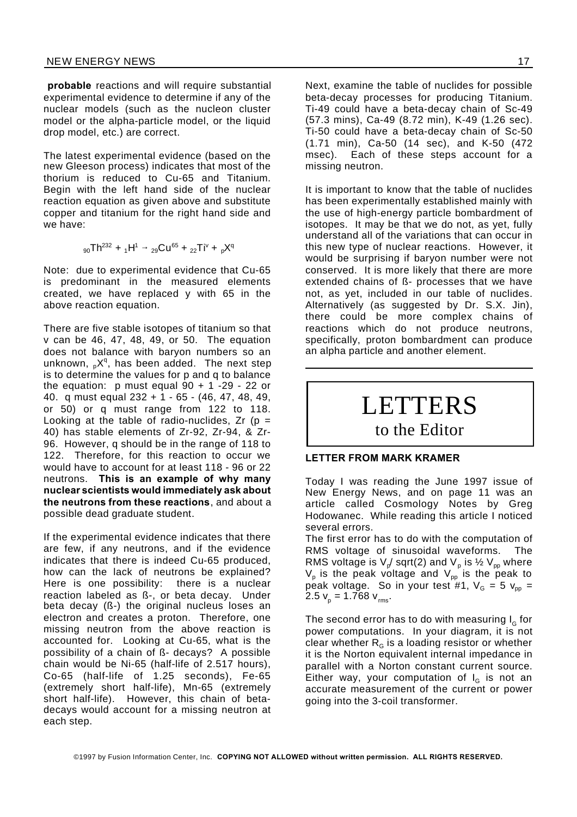**probable** reactions and will require substantial experimental evidence to determine if any of the nuclear models (such as the nucleon cluster model or the alpha-particle model, or the liquid drop model, etc.) are correct.

The latest experimental evidence (based on the new Gleeson process) indicates that most of the thorium is reduced to Cu-65 and Titanium. Begin with the left hand side of the nuclear reaction equation as given above and substitute copper and titanium for the right hand side and we have:

$$
_{90}Th^{232} + {}_1H^1 \rightarrow {}_{29}Cu^{65} + {}_{22}Ti^{\vee} + {}_pX^q
$$

Note: due to experimental evidence that Cu-65 is predominant in the measured elements created, we have replaced y with 65 in the above reaction equation.

There are five stable isotopes of titanium so that v can be 46, 47, 48, 49, or 50. The equation does not balance with baryon numbers so an unknown,  ${}_{p}X^{q}$ , has been added. The next step is to determine the values for p and q to balance the equation: p must equal  $90 + 1 - 29 - 22$  or 40. q must equal 232 + 1 - 65 - (46, 47, 48, 49, or 50) or q must range from 122 to 118. Looking at the table of radio-nuclides,  $Zr$  (p = 40) has stable elements of Zr-92, Zr-94, & Zr-96. However, q should be in the range of 118 to 122. Therefore, for this reaction to occur we would have to account for at least 118 - 96 or 22 neutrons. **This is an example of why many nuclear scientists would immediately ask about the neutrons from these reactions**, and about a possible dead graduate student.

If the experimental evidence indicates that there are few, if any neutrons, and if the evidence indicates that there is indeed Cu-65 produced, how can the lack of neutrons be explained? Here is one possibility: there is a nuclear reaction labeled as ß-, or beta decay. Under beta decay (ß-) the original nucleus loses an electron and creates a proton. Therefore, one missing neutron from the above reaction is accounted for. Looking at Cu-65, what is the possibility of a chain of ß- decays? A possible chain would be Ni-65 (half-life of 2.517 hours), Co-65 (half-life of 1.25 seconds), Fe-65 (extremely short half-life), Mn-65 (extremely short half-life). However, this chain of betadecays would account for a missing neutron at each step.

Next, examine the table of nuclides for possible beta-decay processes for producing Titanium. Ti-49 could have a beta-decay chain of Sc-49 (57.3 mins), Ca-49 (8.72 min), K-49 (1.26 sec). Ti-50 could have a beta-decay chain of Sc-50 (1.71 min), Ca-50 (14 sec), and K-50 (472 msec). Each of these steps account for a missing neutron.

It is important to know that the table of nuclides has been experimentally established mainly with the use of high-energy particle bombardment of isotopes. It may be that we do not, as yet, fully understand all of the variations that can occur in this new type of nuclear reactions. However, it would be surprising if baryon number were not conserved. It is more likely that there are more extended chains of ß- processes that we have not, as yet, included in our table of nuclides. Alternatively (as suggested by Dr. S.X. Jin), there could be more complex chains of reactions which do not produce neutrons, specifically, proton bombardment can produce an alpha particle and another element.

# LETTERS

## to the Editor

### **LETTER FROM MARK KRAMER**

Today I was reading the June 1997 issue of New Energy News, and on page 11 was an article called Cosmology Notes by Greg Hodowanec. While reading this article I noticed several errors.

The first error has to do with the computation of RMS voltage of sinusoidal waveforms. The RMS voltage is V<sub>p</sub>/ sqrt(2) and V<sub>p</sub> is ½ V<sub>pp</sub> where  $\mathsf{V}_\mathsf{p}$  is the peak voltage and  $\mathsf{V}_\mathsf{pp}$  is the peak to peak voltage. So in your test #1,  $V_{G} = 5 V_{pp} =$  $2.5 v_p = 1.768 v_{rms}.$ 

The second error has to do with measuring  $\mathsf{I}_{_{\mathbf{G}}}$  for power computations. In your diagram, it is not clear whether  $R<sub>G</sub>$  is a loading resistor or whether it is the Norton equivalent internal impedance in parallel with a Norton constant current source. Either way, your computation of  $I_G$  is not an accurate measurement of the current or power going into the 3-coil transformer.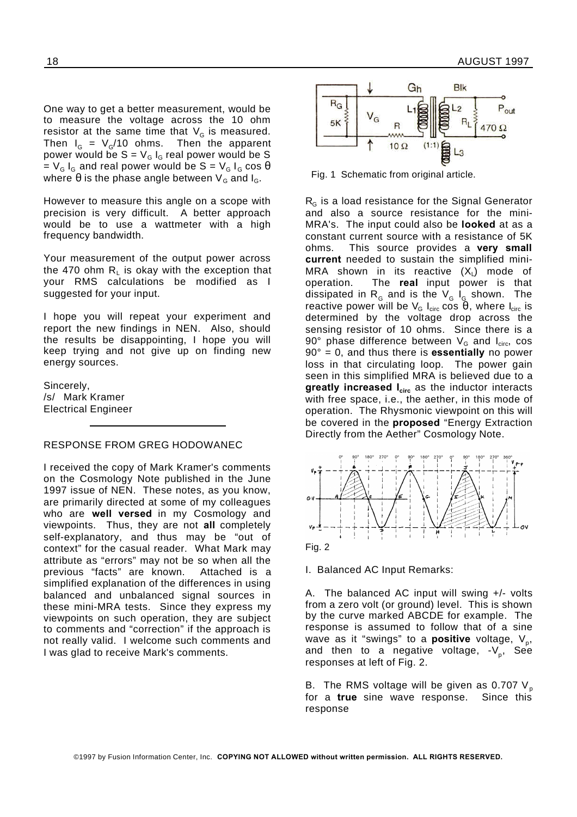One way to get a better measurement, would be to measure the voltage across the 10 ohm resistor at the same time that  $\mathsf{V}_{_{\mathsf{G}}}$  is measured. Then I<sub>G</sub> = V<sub>G</sub>/10 ohms. Then the apparent power would be  $S = V_G I_G$  real power would be S  $= V_G I_G$  and real power would be S =  $V_G I_G \cos \theta$ where  $\theta$  is the phase angle between  $V_G$  and  $I_G$ .

However to measure this angle on a scope with precision is very difficult. A better approach would be to use a wattmeter with a high frequency bandwidth.

Your measurement of the output power across the 470 ohm  $\mathsf{R}_{\mathsf{L}}$  is okay with the exception that your RMS calculations be modified as I suggested for your input.

I hope you will repeat your experiment and report the new findings in NEN. Also, should the results be disappointing, I hope you will keep trying and not give up on finding new energy sources.

Sincerely, /s/ Mark Kramer Electrical Engineer

### RESPONSE FROM GREG HODOWANEC

I received the copy of Mark Kramer's comments on the Cosmology Note published in the June 1997 issue of NEN. These notes, as you know, are primarily directed at some of my colleagues who are **well versed** in my Cosmology and viewpoints. Thus, they are not **all** completely self-explanatory, and thus may be "out of context" for the casual reader. What Mark may attribute as "errors" may not be so when all the previous "facts" are known. Attached is a simplified explanation of the differences in using balanced and unbalanced signal sources in these mini-MRA tests. Since they express my viewpoints on such operation, they are subject to comments and "correction" if the approach is not really valid. I welcome such comments and I was glad to receive Mark's comments.



Fig. 1 Schematic from original article.

 $R<sub>G</sub>$  is a load resistance for the Signal Generator and also a source resistance for the mini-MRA's. The input could also be **looked** at as a constant current source with a resistance of 5K ohms. This source provides a **very small current** needed to sustain the simplified mini-MRA shown in its reactive  $(\mathsf{X}_\mathsf{L})$  mode of operation. The **real** input power is that dissipated in  $\mathsf{R}^{}_{\mathsf{G}}$  and is the  $\mathsf{V}^{}_{\mathsf{G}}$  I $^{}_{\mathsf{G}}$  shown. The reactive power will be  $V_{\rm G}$  I<sub>circ</sub> cos  $\Theta$ , where I<sub>circ</sub> is determined by the voltage drop across the sensing resistor of 10 ohms. Since there is a 90° phase difference between  $V_G$  and  $I_{circ}$  cos 90° = 0, and thus there is **essentially** no power loss in that circulating loop. The power gain seen in this simplified MRA is believed due to a **greatly increased Icirc** as the inductor interacts with free space, i.e., the aether, in this mode of operation. The Rhysmonic viewpoint on this will be covered in the **proposed** "Energy Extraction Directly from the Aether" Cosmology Note.



I. Balanced AC Input Remarks:

A. The balanced AC input will swing +/- volts from a zero volt (or ground) level. This is shown by the curve marked ABCDE for example. The response is assumed to follow that of a sine wave as it "swings" to a **positive** voltage, V<sub>p</sub>, and then to a negative voltage, -V<sub>p</sub>, See responses at left of Fig. 2.

B. The RMS voltage will be given as 0.707  $V_p$ for a **true** sine wave response. Since this response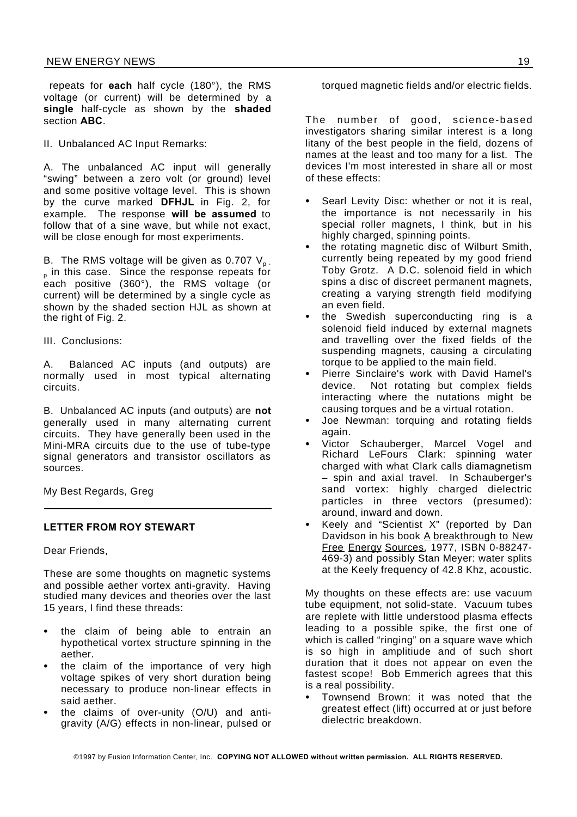repeats for **each** half cycle (180°), the RMS voltage (or current) will be determined by a **single** half-cycle as shown by the **shaded** section **ABC**.

II. Unbalanced AC Input Remarks:

A. The unbalanced AC input will generally "swing" between a zero volt (or ground) level and some positive voltage level. This is shown by the curve marked **DFHJL** in Fig. 2, for example. The response **will be assumed** to follow that of a sine wave, but while not exact, will be close enough for most experiments.

B. The RMS voltage will be given as 0.707  $V_{p}$ . <sub>p</sub> in this case. Since the response repeats for each positive (360°), the RMS voltage (or current) will be determined by a single cycle as shown by the shaded section HJL as shown at the right of Fig. 2.

III. Conclusions:

A. Balanced AC inputs (and outputs) are normally used in most typical alternating circuits.

B. Unbalanced AC inputs (and outputs) are **not** generally used in many alternating current circuits. They have generally been used in the Mini-MRA circuits due to the use of tube-type signal generators and transistor oscillators as sources.

My Best Regards, Greg

### **LETTER FROM ROY STEWART**

Dear Friends,

These are some thoughts on magnetic systems and possible aether vortex anti-gravity. Having studied many devices and theories over the last 15 years, I find these threads:

- the claim of being able to entrain an hypothetical vortex structure spinning in the aether.
- the claim of the importance of very high voltage spikes of very short duration being necessary to produce non-linear effects in said aether.
- the claims of over-unity (O/U) and antigravity (A/G) effects in non-linear, pulsed or

torqued magnetic fields and/or electric fields.

The number of good, science-based investigators sharing similar interest is a long litany of the best people in the field, dozens of names at the least and too many for a list. The devices I'm most interested in share all or most of these effects:

- Searl Levity Disc: whether or not it is real, the importance is not necessarily in his special roller magnets, I think, but in his highly charged, spinning points.
- the rotating magnetic disc of Wilburt Smith, currently being repeated by my good friend Toby Grotz. A D.C. solenoid field in which spins a disc of discreet permanent magnets, creating a varying strength field modifying an even field.
- the Swedish superconducting ring is a solenoid field induced by external magnets and travelling over the fixed fields of the suspending magnets, causing a circulating torque to be applied to the main field.
- Pierre Sinclaire's work with David Hamel's device. Not rotating but complex fields interacting where the nutations might be causing torques and be a virtual rotation.
- Joe Newman: torquing and rotating fields again.
- Victor Schauberger, Marcel Vogel and Richard LeFours Clark: spinning water charged with what Clark calls diamagnetism – spin and axial travel. In Schauberger's sand vortex: highly charged dielectric particles in three vectors (presumed): around, inward and down.
- Keely and "Scientist X" (reported by Dan Davidson in his book A breakthrough to New Free Energy Sources, 1977, ISBN 0-88247- 469-3) and possibly Stan Meyer: water splits at the Keely frequency of 42.8 Khz, acoustic.

My thoughts on these effects are: use vacuum tube equipment, not solid-state. Vacuum tubes are replete with little understood plasma effects leading to a possible spike, the first one of which is called "ringing" on a square wave which is so high in amplitiude and of such short duration that it does not appear on even the fastest scope! Bob Emmerich agrees that this is a real possibility.

 Townsend Brown: it was noted that the greatest effect (lift) occurred at or just before dielectric breakdown.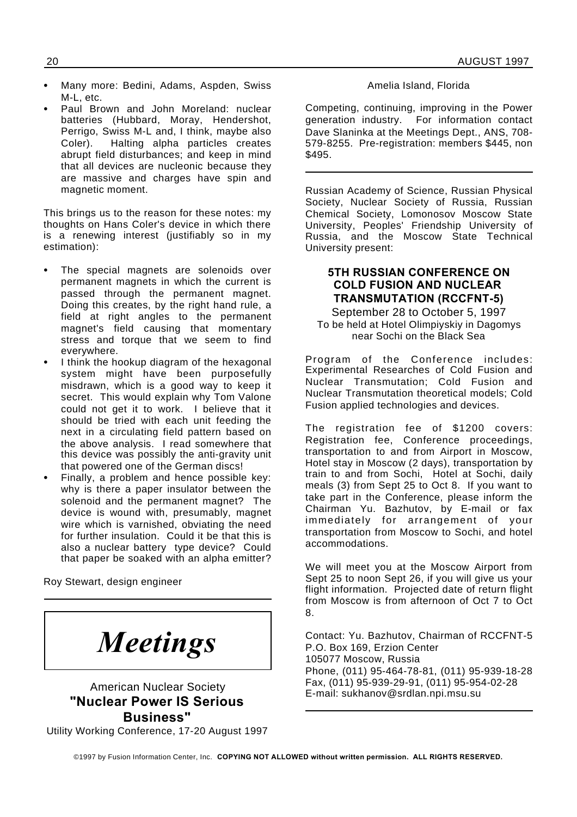- Many more: Bedini, Adams, Aspden, Swiss M-L, etc.
- Paul Brown and John Moreland: nuclear batteries (Hubbard, Moray, Hendershot, Perrigo, Swiss M-L and, I think, maybe also Coler). Halting alpha particles creates abrupt field disturbances; and keep in mind that all devices are nucleonic because they are massive and charges have spin and magnetic moment.

This brings us to the reason for these notes: my thoughts on Hans Coler's device in which there is a renewing interest (justifiably so in my estimation):

- The special magnets are solenoids over permanent magnets in which the current is passed through the permanent magnet. Doing this creates, by the right hand rule, a field at right angles to the permanent magnet's field causing that momentary stress and torque that we seem to find everywhere.
- I think the hookup diagram of the hexagonal system might have been purposefully misdrawn, which is a good way to keep it secret. This would explain why Tom Valone could not get it to work. I believe that it should be tried with each unit feeding the next in a circulating field pattern based on the above analysis. I read somewhere that this device was possibly the anti-gravity unit that powered one of the German discs!
- Finally, a problem and hence possible key: why is there a paper insulator between the solenoid and the permanent magnet? The device is wound with, presumably, magnet wire which is varnished, obviating the need for further insulation. Could it be that this is also a nuclear battery type device? Could that paper be soaked with an alpha emitter?

Roy Stewart, design engineer

*Meetings*

### American Nuclear Society **"Nuclear Power IS Serious Business"**

Utility Working Conference, 17-20 August 1997

### Amelia Island, Florida

Competing, continuing, improving in the Power generation industry. For information contact Dave Slaninka at the Meetings Dept., ANS, 708- 579-8255. Pre-registration: members \$445, non \$495.

Russian Academy of Science, Russian Physical Society, Nuclear Society of Russia, Russian Chemical Society, Lomonosov Moscow State University, Peoples' Friendship University of Russia, and the Moscow State Technical University present:

### **5TH RUSSIAN CONFERENCE ON COLD FUSION AND NUCLEAR TRANSMUTATION (RCCFNT-5)**

September 28 to October 5, 1997 To be held at Hotel Olimpiyskiy in Dagomys near Sochi on the Black Sea

Program of the Conference includes: Experimental Researches of Cold Fusion and Nuclear Transmutation; Cold Fusion and Nuclear Transmutation theoretical models; Cold Fusion applied technologies and devices.

The registration fee of \$1200 covers: Registration fee, Conference proceedings, transportation to and from Airport in Moscow, Hotel stay in Moscow (2 days), transportation by train to and from Sochi, Hotel at Sochi, daily meals (3) from Sept 25 to Oct 8. If you want to take part in the Conference, please inform the Chairman Yu. Bazhutov, by E-mail or fax immediately for arrangement of your transportation from Moscow to Sochi, and hotel accommodations.

We will meet you at the Moscow Airport from Sept 25 to noon Sept 26, if you will give us your flight information. Projected date of return flight from Moscow is from afternoon of Oct 7 to Oct 8.

Contact: Yu. Bazhutov, Chairman of RCCFNT-5 P.O. Box 169, Erzion Center 105077 Moscow, Russia Phone, (011) 95-464-78-81, (011) 95-939-18-28 Fax, (011) 95-939-29-91, (011) 95-954-02-28 E-mail: sukhanov@srdlan.npi.msu.su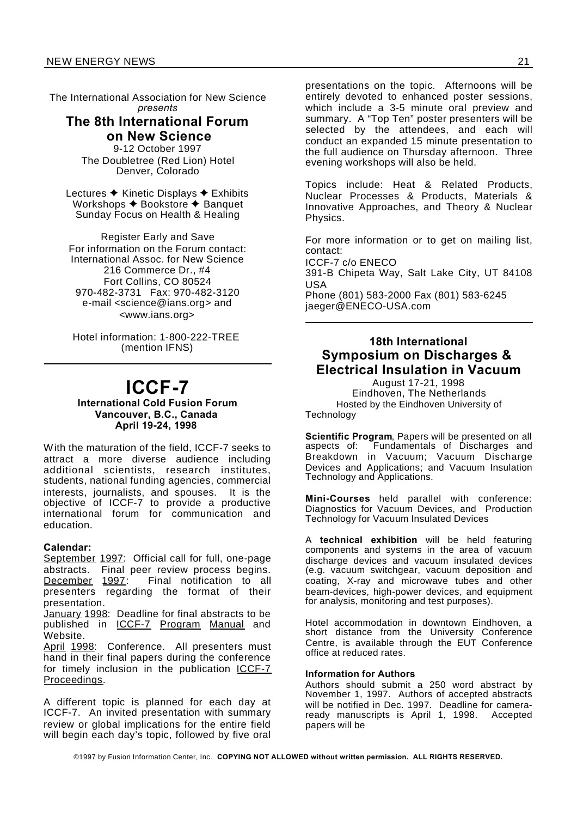The International Association for New Science *presents*

### **The 8th International Forum on New Science**

9-12 October 1997 The Doubletree (Red Lion) Hotel Denver, Colorado

Lectures  $\triangle$  Kinetic Displays  $\triangle$  Exhibits Workshops  $\triangle$  Bookstore  $\triangle$  Banquet Sunday Focus on Health & Healing

Register Early and Save For information on the Forum contact: International Assoc. for New Science 216 Commerce Dr., #4 Fort Collins, CO 80524 970-482-3731 Fax: 970-482-3120 e-mail <science@ians.org> and <www.ians.org>

Hotel information: 1-800-222-TREE (mention IFNS)

## **ICCF-7**

### **International Cold Fusion Forum Vancouver, B.C., Canada April 19-24, 1998**

With the maturation of the field, ICCF-7 seeks to attract a more diverse audience including additional scientists, research institutes, students, national funding agencies, commercial interests, journalists, and spouses. It is the objective of ICCF-7 to provide a productive international forum for communication and education.

### **Calendar:**

September 1997: Official call for full, one-page abstracts. Final peer review process begins.<br>December 1997: Final notification to all Final notification to all presenters regarding the format of their presentation.

January 1998: Deadline for final abstracts to be published in ICCF-7 Program Manual and Website.

April 1998: Conference. All presenters must hand in their final papers during the conference for timely inclusion in the publication ICCF-7 Proceedings.

A different topic is planned for each day at ICCF-7. An invited presentation with summary review or global implications for the entire field will begin each day's topic, followed by five oral

presentations on the topic. Afternoons will be entirely devoted to enhanced poster sessions, which include a 3-5 minute oral preview and summary. A "Top Ten" poster presenters will be selected by the attendees, and each will conduct an expanded 15 minute presentation to the full audience on Thursday afternoon. Three evening workshops will also be held.

Topics include: Heat & Related Products, Nuclear Processes & Products, Materials & Innovative Approaches, and Theory & Nuclear Physics.

For more information or to get on mailing list, contact:

ICCF-7 c/o ENECO

391-B Chipeta Way, Salt Lake City, UT 84108 USA

Phone (801) 583-2000 Fax (801) 583-6245 jaeger@ENECO-USA.com

### **18th International Symposium on Discharges & Electrical Insulation in Vacuum**

August 17-21, 1998 Eindhoven, The Netherlands Hosted by the Eindhoven University of Technology

**Scientific Program**, Papers will be presented on all aspects of: Fundamentals of Discharges and Breakdown in Vacuum; Vacuum Discharge Devices and Applications; and Vacuum Insulation Technology and Applications.

**Mini-Courses** held parallel with conference: Diagnostics for Vacuum Devices, and Production Technology for Vacuum Insulated Devices

A **technical exhibition** will be held featuring components and systems in the area of vacuum discharge devices and vacuum insulated devices (e.g. vacuum switchgear, vacuum deposition and coating, X-ray and microwave tubes and other beam-devices, high-power devices, and equipment for analysis, monitoring and test purposes).

Hotel accommodation in downtown Eindhoven, a short distance from the University Conference Centre, is available through the EUT Conference office at reduced rates.

### **Information for Authors**

Authors should submit a 250 word abstract by November 1, 1997. Authors of accepted abstracts will be notified in Dec. 1997. Deadline for camera-<br>ready manuscripts is April 1, 1998. Accepted ready manuscripts is April 1, 1998. papers will be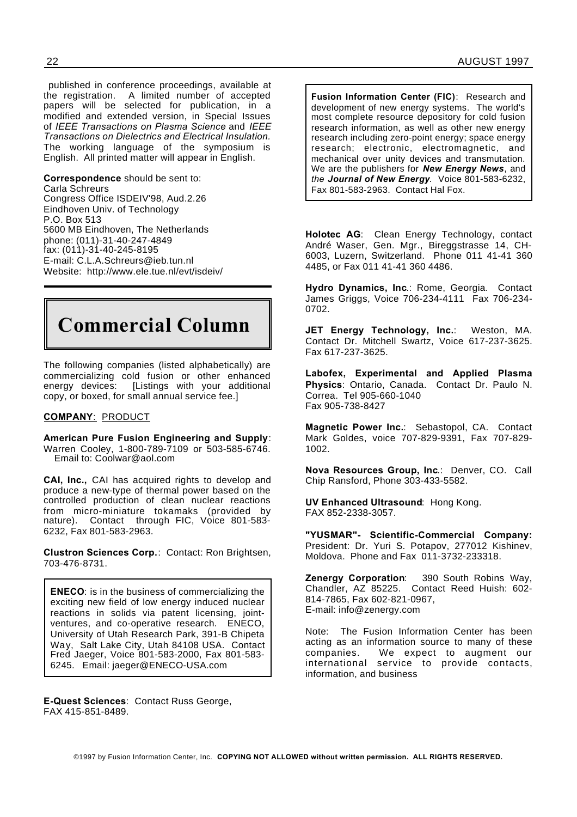published in conference proceedings, available at the registration. A limited number of accepted papers will be selected for publication, in a modified and extended version, in Special Issues of *IEEE Transactions on Plasma Science* and *IEEE Transactions on Dielectrics and Electrical Insulation.* The working language of the symposium is English. All printed matter will appear in English.

**Correspondence** should be sent to: Carla Schreurs Congress Office ISDEIV'98, Aud.2.26 Eindhoven Univ. of Technology P.O. Box 513

5600 MB Eindhoven, The Netherlands phone: (011)-31-40-247-4849 fax: (011)-31-40-245-8195 E-mail: C.L.A.Schreurs@ieb.tun.nl Website: http://www.ele.tue.nl/evt/isdeiv/



The following companies (listed alphabetically) are commercializing cold fusion or other enhanced energy devices: [Listings with your additional copy, or boxed, for small annual service fee.]

### **COMPANY**: PRODUCT

**American Pure Fusion Engineering and Supply**: Warren Cooley, 1-800-789-7109 or 503-585-6746. Email to: Coolwar@aol.com

**CAI, Inc.,** CAI has acquired rights to develop and produce a new-type of thermal power based on the controlled production of clean nuclear reactions from micro-miniature tokamaks (provided by nature). Contact through FIC, Voice 801-583-6232, Fax 801-583-2963.

**Clustron Sciences Corp.**: Contact: Ron Brightsen, 703-476-8731.

**ENECO**: is in the business of commercializing the exciting new field of low energy induced nuclear reactions in solids via patent licensing, jointventures, and co-operative research. ENECO, University of Utah Research Park, 391-B Chipeta Way, Salt Lake City, Utah 84108 USA. Contact Fred Jaeger, Voice 801-583-2000, Fax 801-583- 6245. Email: jaeger@ENECO-USA.com

**Fusion Information Center (FIC)**: Research and development of new energy systems. The world's most complete resource depository for cold fusion research information, as well as other new energy research including zero-point energy; space energy research; electronic, electromagnetic, and mechanical over unity devices and transmutation. We are the publishers for *New Energy News*, and *the Journal of New Energy.* Voice 801-583-6232, Fax 801-583-2963. Contact Hal Fox.

**Holotec AG**: Clean Energy Technology, contact André Waser, Gen. Mgr., Bireggstrasse 14, CH-6003, Luzern, Switzerland. Phone 011 41-41 360 4485, or Fax 011 41-41 360 4486.

**Hydro Dynamics, Inc**.: Rome, Georgia. Contact James Griggs, Voice 706-234-4111 Fax 706-234- 0702.

**JET Energy Technology, Inc.**: Weston, MA. Contact Dr. Mitchell Swartz, Voice 617-237-3625. Fax 617-237-3625.

**Labofex, Experimental and Applied Plasma Physics**: Ontario, Canada. Contact Dr. Paulo N. Correa. Tel 905-660-1040 Fax 905-738-8427

**Magnetic Power Inc.**: Sebastopol, CA. Contact Mark Goldes, voice 707-829-9391, Fax 707-829- 1002.

**Nova Resources Group, Inc**.: Denver, CO. Call Chip Ransford, Phone 303-433-5582.

**UV Enhanced Ultrasound**: Hong Kong. FAX 852-2338-3057.

**"YUSMAR"- Scientific-Commercial Company:** President: Dr. Yuri S. Potapov, 277012 Kishinev, Moldova. Phone and Fax 011-3732-233318.

**Zenergy Corporation**: 390 South Robins Way, Chandler, AZ 85225. Contact Reed Huish: 602- 814-7865, Fax 602-821-0967, E-mail: info@zenergy.com

Note: The Fusion Information Center has been acting as an information source to many of these companies. We expect to augment our international service to provide contacts, information, and business

**E-Quest Sciences**: Contact Russ George, FAX 415-851-8489.

©1997 by Fusion Information Center, Inc. **COPYING NOT ALLOWED without written permission. ALL RIGHTS RESERVED.**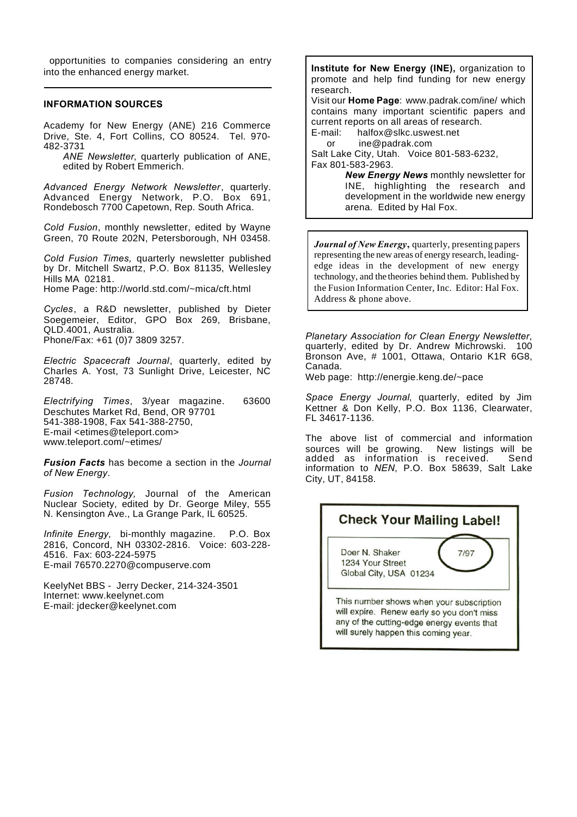opportunities to companies considering an entry into the enhanced energy market.

### **INFORMATION SOURCES**

Academy for New Energy (ANE) 216 Commerce Drive, Ste. 4, Fort Collins, CO 80524. Tel. 970- 482-3731

*ANE Newsletter*, quarterly publication of ANE, edited by Robert Emmerich.

*Advanced Energy Network Newsletter*, quarterly. Advanced Energy Network, P.O. Box 691, Rondebosch 7700 Capetown, Rep. South Africa.

*Cold Fusion*, monthly newsletter, edited by Wayne Green, 70 Route 202N, Petersborough, NH 03458.

*Cold Fusion Times,* quarterly newsletter published by Dr. Mitchell Swartz, P.O. Box 81135, Wellesley Hills MA 02181. Home Page: http://world.std.com/~mica/cft.html

*Cycles*, a R&D newsletter, published by Dieter Soegemeier, Editor, GPO Box 269, Brisbane, QLD.4001, Australia. Phone/Fax: +61 (0)7 3809 3257.

*Electric Spacecraft Journal*, quarterly, edited by Charles A. Yost, 73 Sunlight Drive, Leicester, NC 28748.

*Electrifying Times*, 3/year magazine. 63600 Deschutes Market Rd, Bend, OR 97701 541-388-1908, Fax 541-388-2750, E-mail <etimes@teleport.com> www.teleport.com/~etimes/

*Fusion Facts* has become a section in the *Journal of New Energy*.

*Fusion Technology,* Journal of the American Nuclear Society, edited by Dr. George Miley, 555 N. Kensington Ave., La Grange Park, IL 60525.

*Infinite Energy,* bi-monthly magazine. P.O. Box 2816, Concord, NH 03302-2816. Voice: 603-228- 4516. Fax: 603-224-5975 E-mail 76570.2270@compuserve.com

KeelyNet BBS - Jerry Decker, 214-324-3501 Internet: www.keelynet.com E-mail: jdecker@keelynet.com

**Institute for New Energy (INE),** organization to promote and help find funding for new energy research. Visit our **Home Page**: www.padrak.com/ine/ which contains many important scientific papers and current reports on all areas of research. E-mail: halfox@slkc.uswest.net or ine@padrak.com Salt Lake City, Utah. Voice 801-583-6232, Fax 801-583-2963.

*New Energy News* monthly newsletter for INE, highlighting the research and development in the worldwide new energy arena. Edited by Hal Fox.

*Journal of New Energy***,** quarterly, presenting papers representing the new areas of energy research, leadingedge ideas in the development of new energy technology, and the theories behind them. Published by the Fusion Information Center, Inc. Editor: Hal Fox. Address & phone above.

*Planetary Association for Clean Energy Newsletter*, quarterly, edited by Dr. Andrew Michrowski. 100 Bronson Ave, # 1001, Ottawa, Ontario K1R 6G8, Canada.

Web page: http://energie.keng.de/~pace

*Space Energy Journal*, quarterly, edited by Jim Kettner & Don Kelly, P.O. Box 1136, Clearwater, FL 34617-1136.

The above list of commercial and information sources will be growing. New listings will be added as information is received. Send information to *NEN*, P.O. Box 58639, Salt Lake City, UT, 84158.